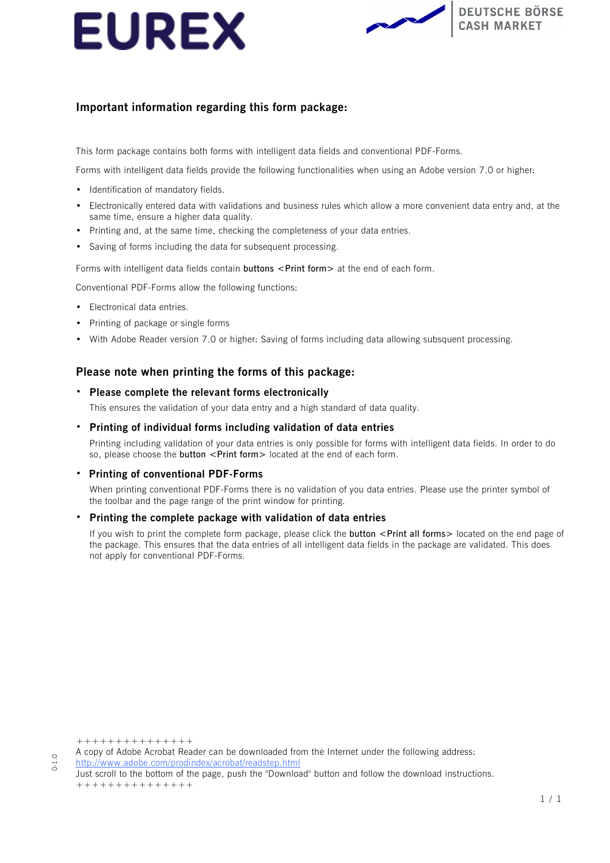



## **Important information regarding this form package:**

This form package contains both forms with intelligent data fields and conventional PDF-Forms.

Forms with intelligent data fields provide the following functionalities when using an Adobe version 7.0 or higher:

- Identification of mandatory fields.
- Electronically entered data with validations and business rules which allow a more convenient data entry and, at the same time, ensure a higher data quality.
- Printing and, at the same time, checking the completeness of your data entries.
- Saving of forms including the data for subsequent processing.

Forms with intelligent data fields contain **buttons** <Print form> at the end of each form.

Conventional PDF-Forms allow the following functions:

- Electronical data entries.
- Printing of package or single forms
- With Adobe Reader version 7.0 or higher: Saving of forms including data allowing subsquent processing.

## **Please note when printing the forms of this package:**

### • **Please complete the relevant forms electronically**

This ensures the validation of your data entry and a high standard of data quality.

### • **Printing of individual forms including validation of data entries**

Printing including validation of your data entries is only possible for forms with intelligent data fields. In order to do so, please choose the **button <Print form>** located at the end of each form.

### • **Printing of conventional PDF-Forms**

When printing conventional PDF-Forms there is no validation of you data entries. Please use the printer symbol of the toolbar and the page range of the print window for printing.

### • **Printing the complete package with validation of data entries**

If you wish to print the complete form package, please click the **button <Print all forms>** located on the end page of the package. This ensures that the data entries of all intelligent data fields in the package are validated. This does not apply for conventional PDF-Forms.

+++++++++++++++

0-1.0

A copy of Adobe Acrobat Reader can be downloaded from the Internet under the following address:

<http://www.adobe.com/prodindex/acrobat/readstep.html>

Just scroll to the bottom of the page, push the "Download" button and follow the download instructions. +++++++++++++++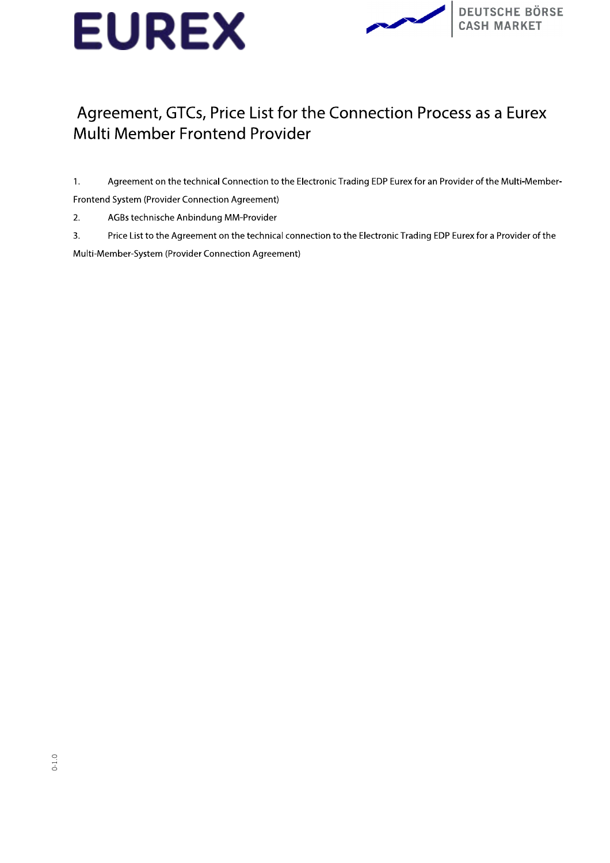



## Agreement, GTCs, Price List for the Connection Process as a Eurex Multi Member Frontend Provider

Agreement on the technical Connection to the Electronic Trading EDP Eurex for an Provider of the Multi-Member- $1.$ 

Frontend System (Provider Connection Agreement)

 $2.$ AGBs technische Anbindung MM-Provider

 $\overline{3}$ . Price List to the Agreement on the technical connection to the Electronic Trading EDP Eurex for a Provider of the Multi-Member-System (Provider Connection Agreement)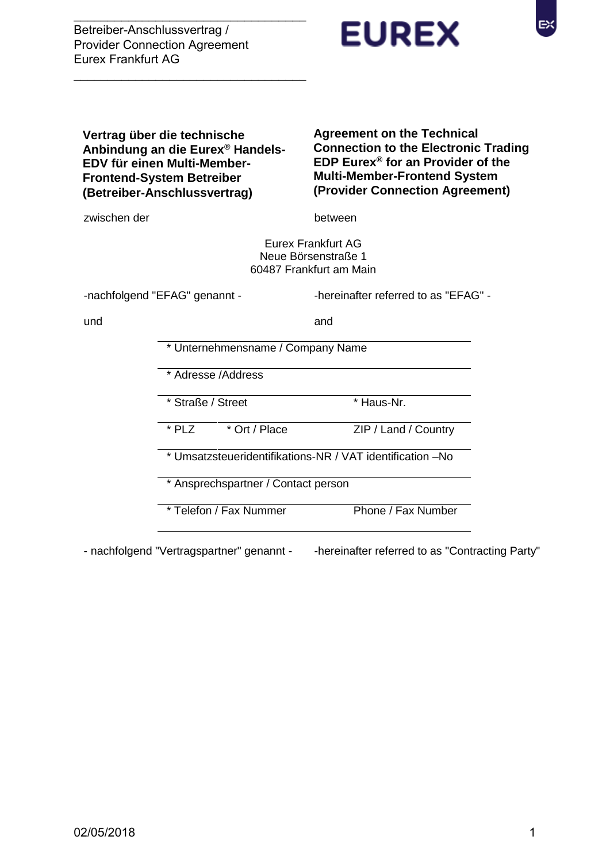$\overline{\phantom{a}}$  , and the set of the set of the set of the set of the set of the set of the set of the set of the set of the set of the set of the set of the set of the set of the set of the set of the set of the set of the s

 $\frac{1}{2}$  ,  $\frac{1}{2}$  ,  $\frac{1}{2}$  ,  $\frac{1}{2}$  ,  $\frac{1}{2}$  ,  $\frac{1}{2}$  ,  $\frac{1}{2}$  ,  $\frac{1}{2}$  ,  $\frac{1}{2}$  ,  $\frac{1}{2}$  ,  $\frac{1}{2}$  ,  $\frac{1}{2}$  ,  $\frac{1}{2}$  ,  $\frac{1}{2}$  ,  $\frac{1}{2}$  ,  $\frac{1}{2}$  ,  $\frac{1}{2}$  ,  $\frac{1}{2}$  ,  $\frac{1$ 

**Vertrag über die technische** 

**EDV für einen Multi-Member-Frontend-System Betreiber (Betreiber-Anschlussvertrag)**

**Anbindung an die Eurex® Handels-**



**EUREX** 

EХ

**(Provider Connection Agreement)**

zwischen der between

Eurex Frankfurt AG Neue Börsenstraße 1 60487 Frankfurt am Main

-nachfolgend "EFAG" genannt - Thereinafter referred to as "EFAG" -

und and

\* Unternehmensname / Company Name

\* Adresse /Address

\* Straße / Street \* Haus-Nr.

\* PLZ \* Ort / Place ZIP / Land / Country

\* Umsatzsteueridentifikations-NR / VAT identification –No

\* Ansprechspartner / Contact person

\* Telefon / Fax Nummer Phone / Fax Number

- nachfolgend "Vertragspartner" genannt - - -hereinafter referred to as "Contracting Party"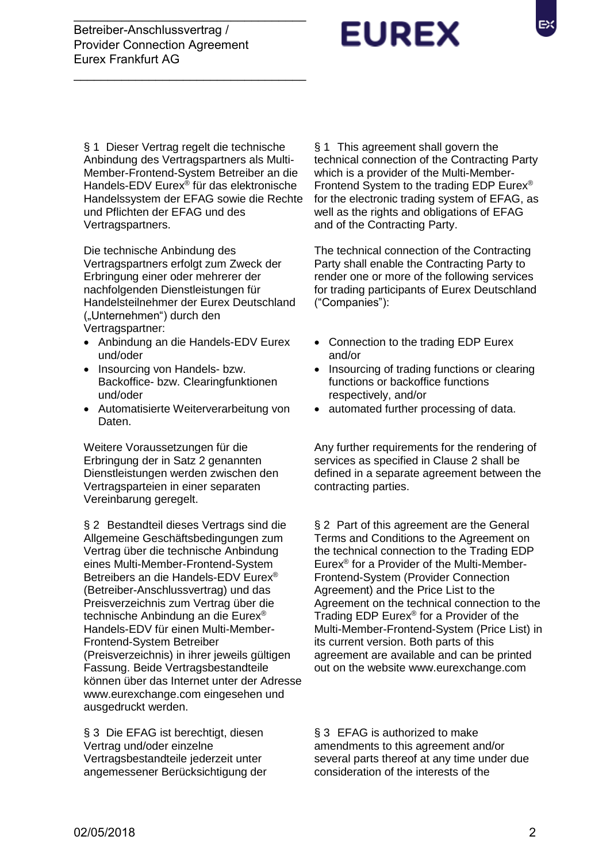$\overline{\phantom{a}}$  , and the set of the set of the set of the set of the set of the set of the set of the set of the set of the set of the set of the set of the set of the set of the set of the set of the set of the set of the s

 $\frac{1}{2}$  ,  $\frac{1}{2}$  ,  $\frac{1}{2}$  ,  $\frac{1}{2}$  ,  $\frac{1}{2}$  ,  $\frac{1}{2}$  ,  $\frac{1}{2}$  ,  $\frac{1}{2}$  ,  $\frac{1}{2}$  ,  $\frac{1}{2}$  ,  $\frac{1}{2}$  ,  $\frac{1}{2}$  ,  $\frac{1}{2}$  ,  $\frac{1}{2}$  ,  $\frac{1}{2}$  ,  $\frac{1}{2}$  ,  $\frac{1}{2}$  ,  $\frac{1}{2}$  ,  $\frac{1$ 

# **EUREX**

§ 1 Dieser Vertrag regelt die technische Anbindung des Vertragspartners als Multi-Member-Frontend-System Betreiber an die Handels-EDV Eurex® für das elektronische Handelssystem der EFAG sowie die Rechte und Pflichten der EFAG und des Vertragspartners.

Die technische Anbindung des Vertragspartners erfolgt zum Zweck der Erbringung einer oder mehrerer der nachfolgenden Dienstleistungen für Handelsteilnehmer der Eurex Deutschland ("Unternehmen") durch den Vertragspartner:

- Anbindung an die Handels-EDV Eurex und/oder
- Insourcing von Handels- bzw. Backoffice- bzw. Clearingfunktionen und/oder
- Automatisierte Weiterverarbeitung von Daten.

Weitere Voraussetzungen für die Erbringung der in Satz 2 genannten Dienstleistungen werden zwischen den Vertragsparteien in einer separaten Vereinbarung geregelt.

§ 2 Bestandteil dieses Vertrags sind die Allgemeine Geschäftsbedingungen zum Vertrag über die technische Anbindung eines Multi-Member-Frontend-System Betreibers an die Handels-EDV Eurex® (Betreiber-Anschlussvertrag) und das Preisverzeichnis zum Vertrag über die technische Anbindung an die Eurex® Handels-EDV für einen Multi-Member-Frontend-System Betreiber (Preisverzeichnis) in ihrer jeweils gültigen Fassung. Beide Vertragsbestandteile können über das Internet unter der Adresse www.eurexchange.com eingesehen und ausgedruckt werden.

§ 3 Die EFAG ist berechtigt, diesen Vertrag und/oder einzelne Vertragsbestandteile jederzeit unter angemessener Berücksichtigung der

§ 1 This agreement shall govern the technical connection of the Contracting Party which is a provider of the Multi-Member-Frontend System to the trading EDP Eurex® for the electronic trading system of EFAG, as well as the rights and obligations of EFAG and of the Contracting Party.

The technical connection of the Contracting Party shall enable the Contracting Party to render one or more of the following services for trading participants of Eurex Deutschland ("Companies"):

- Connection to the trading EDP Eurex and/or
- Insourcing of trading functions or clearing functions or backoffice functions respectively, and/or
- automated further processing of data.

Any further requirements for the rendering of services as specified in Clause 2 shall be defined in a separate agreement between the contracting parties.

§ 2 Part of this agreement are the General Terms and Conditions to the Agreement on the technical connection to the Trading EDP Eurex® for a Provider of the Multi-Member-Frontend-System (Provider Connection Agreement) and the Price List to the Agreement on the technical connection to the Trading EDP Eurex® for a Provider of the Multi-Member-Frontend-System (Price List) in its current version. Both parts of this agreement are available and can be printed out on the website [www.eurexchange.com](http://www.eurexchange.com/)

§ 3 EFAG is authorized to make amendments to this agreement and/or several parts thereof at any time under due consideration of the interests of the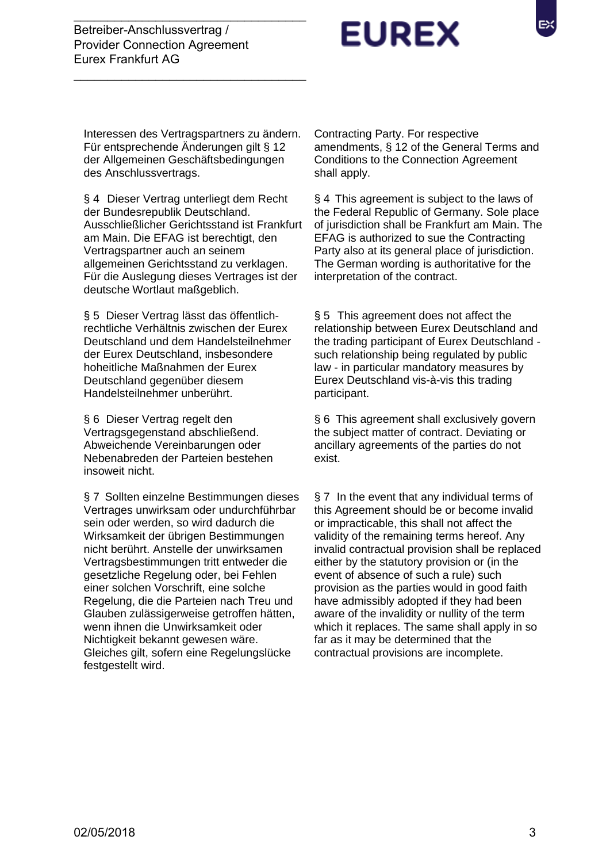Interessen des Vertragspartners zu ändern. Für entsprechende Änderungen gilt § 12 der Allgemeinen Geschäftsbedingungen des Anschlussvertrags.

 $\overline{\phantom{a}}$  , and the set of the set of the set of the set of the set of the set of the set of the set of the set of the set of the set of the set of the set of the set of the set of the set of the set of the set of the s

 $\frac{1}{2}$  ,  $\frac{1}{2}$  ,  $\frac{1}{2}$  ,  $\frac{1}{2}$  ,  $\frac{1}{2}$  ,  $\frac{1}{2}$  ,  $\frac{1}{2}$  ,  $\frac{1}{2}$  ,  $\frac{1}{2}$  ,  $\frac{1}{2}$  ,  $\frac{1}{2}$  ,  $\frac{1}{2}$  ,  $\frac{1}{2}$  ,  $\frac{1}{2}$  ,  $\frac{1}{2}$  ,  $\frac{1}{2}$  ,  $\frac{1}{2}$  ,  $\frac{1}{2}$  ,  $\frac{1$ 

§ 4 Dieser Vertrag unterliegt dem Recht der Bundesrepublik Deutschland. Ausschließlicher Gerichtsstand ist Frankfurt am Main. Die EFAG ist berechtigt, den Vertragspartner auch an seinem allgemeinen Gerichtsstand zu verklagen. Für die Auslegung dieses Vertrages ist der deutsche Wortlaut maßgeblich.

§ 5 Dieser Vertrag lässt das öffentlichrechtliche Verhältnis zwischen der Eurex Deutschland und dem Handelsteilnehmer der Eurex Deutschland, insbesondere hoheitliche Maßnahmen der Eurex Deutschland gegenüber diesem Handelsteilnehmer unberührt.

§ 6 Dieser Vertrag regelt den Vertragsgegenstand abschließend. Abweichende Vereinbarungen oder Nebenabreden der Parteien bestehen insoweit nicht.

§ 7 Sollten einzelne Bestimmungen dieses Vertrages unwirksam oder undurchführbar sein oder werden, so wird dadurch die Wirksamkeit der übrigen Bestimmungen nicht berührt. Anstelle der unwirksamen Vertragsbestimmungen tritt entweder die gesetzliche Regelung oder, bei Fehlen einer solchen Vorschrift, eine solche Regelung, die die Parteien nach Treu und Glauben zulässigerweise getroffen hätten, wenn ihnen die Unwirksamkeit oder Nichtigkeit bekannt gewesen wäre. Gleiches gilt, sofern eine Regelungslücke festgestellt wird.

Contracting Party. For respective amendments, § 12 of the General Terms and Conditions to the Connection Agreement shall apply.

§ 4 This agreement is subject to the laws of the Federal Republic of Germany. Sole place of jurisdiction shall be Frankfurt am Main. The EFAG is authorized to sue the Contracting Party also at its general place of jurisdiction. The German wording is authoritative for the interpretation of the contract.

§ 5 This agreement does not affect the relationship between Eurex Deutschland and the trading participant of Eurex Deutschland such relationship being regulated by public law - in particular mandatory measures by Eurex Deutschland vis-à-vis this trading participant.

§ 6 This agreement shall exclusively govern the subject matter of contract. Deviating or ancillary agreements of the parties do not exist.

§ 7 In the event that any individual terms of this Agreement should be or become invalid or impracticable, this shall not affect the validity of the remaining terms hereof. Any invalid contractual provision shall be replaced either by the statutory provision or (in the event of absence of such a rule) such provision as the parties would in good faith have admissibly adopted if they had been aware of the invalidity or nullity of the term which it replaces. The same shall apply in so far as it may be determined that the contractual provisions are incomplete.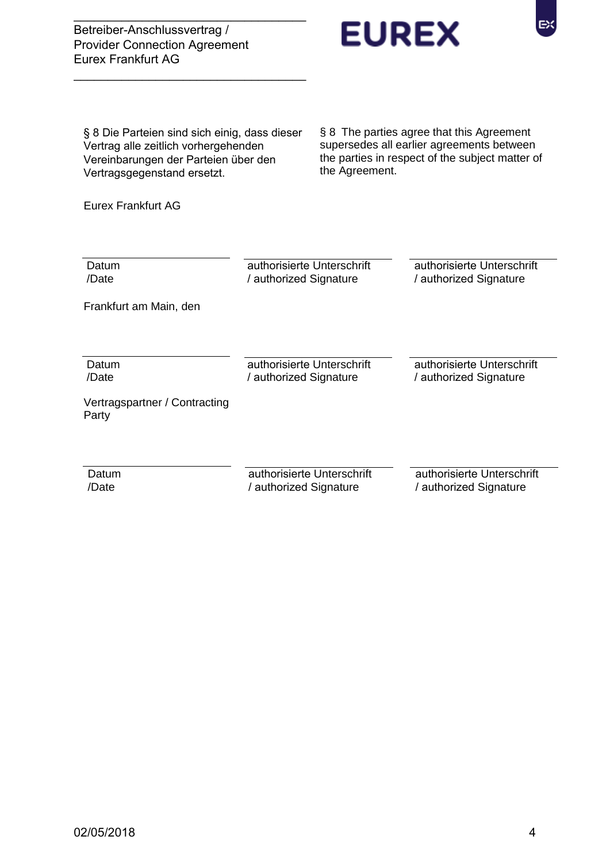Betreiber-Anschlussvertrag / Provider Connection Agreement Eurex Frankfurt AG



§ 8 Die Parteien sind sich einig, dass dieser Vertrag alle zeitlich vorhergehenden Vereinbarungen der Parteien über den Vertragsgegenstand ersetzt.

 $\overline{\phantom{a}}$  , and the set of the set of the set of the set of the set of the set of the set of the set of the set of the set of the set of the set of the set of the set of the set of the set of the set of the set of the s

 $\frac{1}{2}$  ,  $\frac{1}{2}$  ,  $\frac{1}{2}$  ,  $\frac{1}{2}$  ,  $\frac{1}{2}$  ,  $\frac{1}{2}$  ,  $\frac{1}{2}$  ,  $\frac{1}{2}$  ,  $\frac{1}{2}$  ,  $\frac{1}{2}$  ,  $\frac{1}{2}$  ,  $\frac{1}{2}$  ,  $\frac{1}{2}$  ,  $\frac{1}{2}$  ,  $\frac{1}{2}$  ,  $\frac{1}{2}$  ,  $\frac{1}{2}$  ,  $\frac{1}{2}$  ,  $\frac{1$ 

§ 8 The parties agree that this Agreement supersedes all earlier agreements between the parties in respect of the subject matter of the Agreement.

EX

Eurex Frankfurt AG

| Datum<br>/Date                         | authorisierte Unterschrift<br>/ authorized Signature | authorisierte Unterschrift<br>/ authorized Signature |
|----------------------------------------|------------------------------------------------------|------------------------------------------------------|
| Frankfurt am Main, den                 |                                                      |                                                      |
|                                        |                                                      |                                                      |
| Datum<br>/Date                         | authorisierte Unterschrift<br>/ authorized Signature | authorisierte Unterschrift<br>/ authorized Signature |
| Vertragspartner / Contracting<br>Party |                                                      |                                                      |
|                                        |                                                      |                                                      |
| Datum<br>/Date                         | authorisierte Unterschrift<br>/ authorized Signature | authorisierte Unterschrift<br>/ authorized Signature |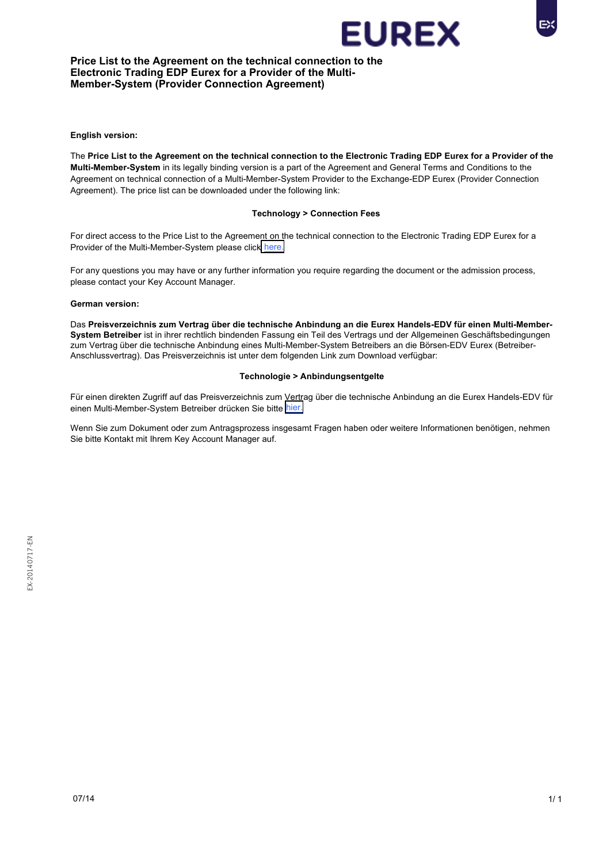

### **Price List to the Agreement on the technical connection to the Electronic Trading EDP Eurex for a Provider of the Multi-Member-System (Provider Connection Agreement)**

**English version:** 

The **Price List to the Agreement on the technical connection to the Electronic Trading EDP Eurex for a Provider of the Multi-Member-System** in its legally binding version is a part of the Agreement and General Terms and Conditions to the Agreement on technical connection of a Multi-Member-System Provider to the Exchange-EDP Eurex (Provider Connection Agreement). The price list can be downloaded under the following link:

### **Technology > Connection Fees**

For direct access to the Price List to the Agreement on the technical connection to the Electronic Trading EDP Eurex for a Provider of the Multi-Member-System please click [here.](http://www.eurexchange.com/exchange-en/technology/connection-fees)

For any questions you may have or any further information you require regarding the document or the admission process, please contact your Key Account Manager.

### **German version:**

Das **Preisverzeichnis zum Vertrag über die technische Anbindung an die Eurex Handels-EDV für einen Multi-Member-System Betreiber** ist in ihrer rechtlich bindenden Fassung ein Teil des Vertrags und der Allgemeinen Geschäftsbedingungen zum Vertrag über die technische Anbindung eines Multi-Member-System Betreibers an die Börsen-EDV Eurex (Betreiber-Anschlussvertrag). Das Preisverzeichnis ist unter dem folgenden Link zum Download verfügbar:

### **Technologie > Anbindungsentgelte**

Für einen direkten Zugriff auf das Preisverzeichnis zum Vertrag über die technische Anbindung an die Eurex Handels-EDV für einen Multi-Member-System Betreiber drücken Sie bitte [hier.](http://www.eurexchange.com/exchange-de/technologie/anbindungsentgelte)

Wenn Sie zum Dokument oder zum Antragsprozess insgesamt Fragen haben oder weitere Informationen benötigen, nehmen Sie bitte Kontakt mit Ihrem Key Account Manager auf.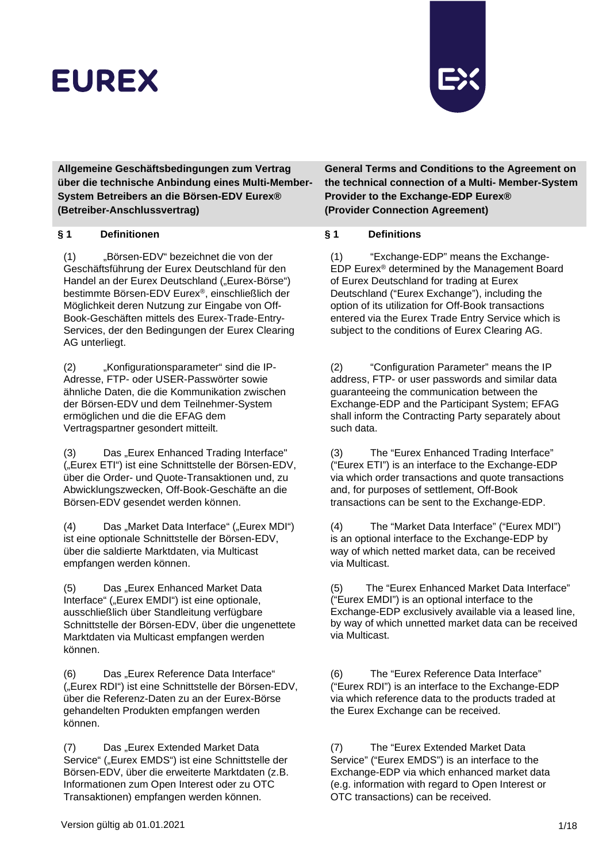

**Allgemeine Geschäftsbedingungen zum Vertrag über die technische Anbindung eines Multi-Member-System Betreibers an die Börsen-EDV Eurex® (Betreiber-Anschlussvertrag)**

### **§ 1 Definitionen § 1 Definitions**

(1) "Börsen-EDV" bezeichnet die von der Geschäftsführung der Eurex Deutschland für den Handel an der Eurex Deutschland ("Eurex-Börse") bestimmte Börsen-EDV Eurex®, einschließlich der Möglichkeit deren Nutzung zur Eingabe von Off-Book-Geschäften mittels des Eurex-Trade-Entry-Services, der den Bedingungen der Eurex Clearing AG unterliegt.

(2) "Konfigurationsparameter" sind die IP-Adresse, FTP- oder USER-Passwörter sowie ähnliche Daten, die die Kommunikation zwischen der Börsen-EDV und dem Teilnehmer-System ermöglichen und die die EFAG dem Vertragspartner gesondert mitteilt.

(3) Das "Eurex Enhanced Trading Interface" ("Eurex ETI") ist eine Schnittstelle der Börsen-EDV, über die Order- und Quote-Transaktionen und, zu Abwicklungszwecken, Off-Book-Geschäfte an die Börsen-EDV gesendet werden können.

(4) Das "Market Data Interface" ("Eurex MDI") ist eine optionale Schnittstelle der Börsen-EDV, über die saldierte Marktdaten, via Multicast empfangen werden können.

(5) Das "Eurex Enhanced Market Data Interface" ("Eurex EMDI") ist eine optionale, ausschließlich über Standleitung verfügbare Schnittstelle der Börsen-EDV, über die ungenettete Marktdaten via Multicast empfangen werden können.

(6) Das "Eurex Reference Data Interface" ("Eurex RDI") ist eine Schnittstelle der Börsen-EDV, über die Referenz-Daten zu an der Eurex-Börse gehandelten Produkten empfangen werden können.

(7) Das "Eurex Extended Market Data Service" ("Eurex EMDS") ist eine Schnittstelle der Börsen-EDV, über die erweiterte Marktdaten (z.B. Informationen zum Open Interest oder zu OTC Transaktionen) empfangen werden können.

**General Terms and Conditions to the Agreement on the technical connection of a Multi- Member-System Provider to the Exchange-EDP Eurex® (Provider Connection Agreement)**

(1) "Exchange-EDP" means the Exchange-EDP Eurex® determined by the Management Board of Eurex Deutschland for trading at Eurex Deutschland ("Eurex Exchange"), including the option of its utilization for Off-Book transactions entered via the Eurex Trade Entry Service which is subject to the conditions of Eurex Clearing AG.

(2) "Configuration Parameter" means the IP address, FTP- or user passwords and similar data guaranteeing the communication between the Exchange-EDP and the Participant System; EFAG shall inform the Contracting Party separately about such data.

(3) The "Eurex Enhanced Trading Interface" ("Eurex ETI") is an interface to the Exchange-EDP via which order transactions and quote transactions and, for purposes of settlement, Off-Book transactions can be sent to the Exchange-EDP.

(4) The "Market Data Interface" ("Eurex MDI") is an optional interface to the Exchange-EDP by way of which netted market data, can be received via Multicast.

(5) The "Eurex Enhanced Market Data Interface" ("Eurex EMDI") is an optional interface to the Exchange-EDP exclusively available via a leased line, by way of which unnetted market data can be received via Multicast.

(6) The "Eurex Reference Data Interface" ("Eurex RDI") is an interface to the Exchange-EDP via which reference data to the products traded at the Eurex Exchange can be received.

(7) The "Eurex Extended Market Data Service" ("Eurex EMDS") is an interface to the Exchange-EDP via which enhanced market data (e.g. information with regard to Open Interest or OTC transactions) can be received.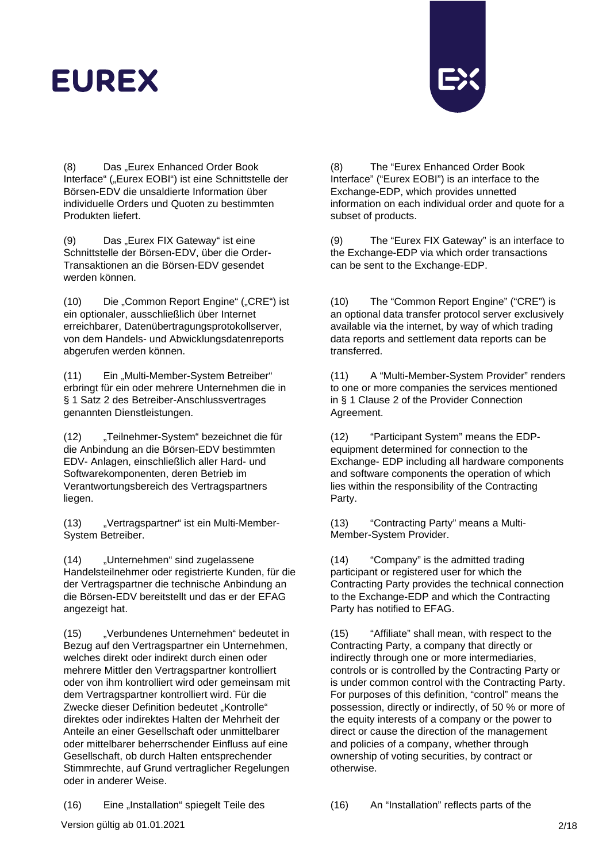

(8) Das "Eurex Enhanced Order Book Interface" ("Eurex EOBI") ist eine Schnittstelle der Börsen-EDV die unsaldierte Information über individuelle Orders und Quoten zu bestimmten Produkten liefert.

(9) Das "Eurex FIX Gateway" ist eine Schnittstelle der Börsen-EDV, über die Order-Transaktionen an die Börsen-EDV gesendet werden können.

(10) Die "Common Report Engine" ("CRE") ist ein optionaler, ausschließlich über Internet erreichbarer, Datenübertragungsprotokollserver, von dem Handels- und Abwicklungsdatenreports abgerufen werden können.

(11) Ein "Multi-Member-System Betreiber" erbringt für ein oder mehrere Unternehmen die in § 1 Satz 2 des Betreiber-Anschlussvertrages genannten Dienstleistungen.

(12) "Teilnehmer-System" bezeichnet die für die Anbindung an die Börsen-EDV bestimmten EDV- Anlagen, einschließlich aller Hard- und Softwarekomponenten, deren Betrieb im Verantwortungsbereich des Vertragspartners liegen.

(13) "Vertragspartner" ist ein Multi-Member-System Betreiber.

(14) "Unternehmen" sind zugelassene Handelsteilnehmer oder registrierte Kunden, für die der Vertragspartner die technische Anbindung an die Börsen-EDV bereitstellt und das er der EFAG angezeigt hat.

(15) "Verbundenes Unternehmen" bedeutet in Bezug auf den Vertragspartner ein Unternehmen, welches direkt oder indirekt durch einen oder mehrere Mittler den Vertragspartner kontrolliert oder von ihm kontrolliert wird oder gemeinsam mit dem Vertragspartner kontrolliert wird. Für die Zwecke dieser Definition bedeutet "Kontrolle" direktes oder indirektes Halten der Mehrheit der Anteile an einer Gesellschaft oder unmittelbarer oder mittelbarer beherrschender Einfluss auf eine Gesellschaft, ob durch Halten entsprechender Stimmrechte, auf Grund vertraglicher Regelungen oder in anderer Weise.

(8) The "Eurex Enhanced Order Book Interface" ("Eurex EOBI") is an interface to the Exchange-EDP, which provides unnetted information on each individual order and quote for a subset of products.

(9) The "Eurex FIX Gateway" is an interface to the Exchange-EDP via which order transactions can be sent to the Exchange-EDP.

(10) The "Common Report Engine" ("CRE") is an optional data transfer protocol server exclusively available via the internet, by way of which trading data reports and settlement data reports can be transferred.

(11) A "Multi-Member-System Provider" renders to one or more companies the services mentioned in § 1 Clause 2 of the Provider Connection Agreement.

(12) "Participant System" means the EDPequipment determined for connection to the Exchange- EDP including all hardware components and software components the operation of which lies within the responsibility of the Contracting Party.

(13) "Contracting Party" means a Multi-Member-System Provider.

(14) "Company" is the admitted trading participant or registered user for which the Contracting Party provides the technical connection to the Exchange-EDP and which the Contracting Party has notified to EFAG.

(15) "Affiliate" shall mean, with respect to the Contracting Party, a company that directly or indirectly through one or more intermediaries, controls or is controlled by the Contracting Party or is under common control with the Contracting Party. For purposes of this definition, "control" means the possession, directly or indirectly, of 50 % or more of the equity interests of a company or the power to direct or cause the direction of the management and policies of a company, whether through ownership of voting securities, by contract or otherwise.

(16) Eine "Installation" spiegelt Teile des (16) An "Installation" reflects parts of the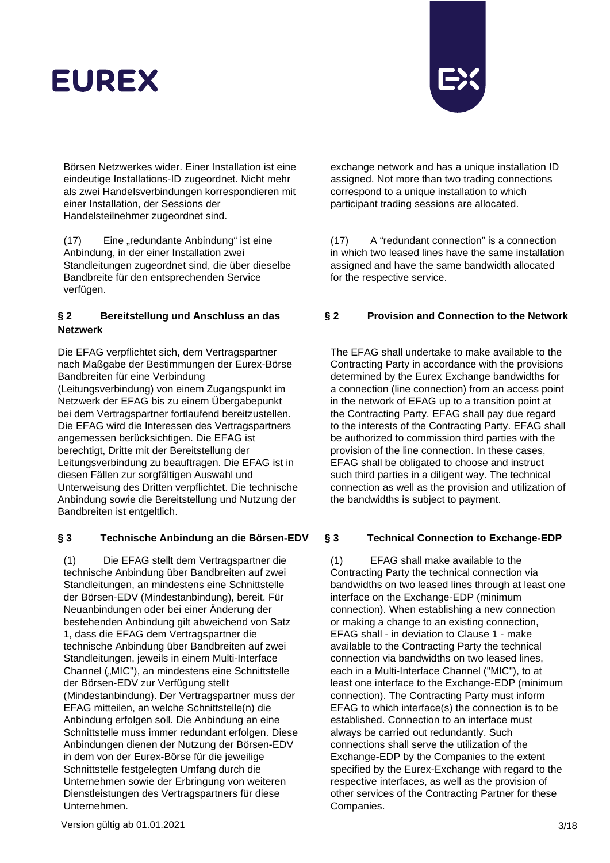

Börsen Netzwerkes wider. Einer Installation ist eine eindeutige Installations-ID zugeordnet. Nicht mehr als zwei Handelsverbindungen korrespondieren mit einer Installation, der Sessions der Handelsteilnehmer zugeordnet sind.

(17) Eine "redundante Anbindung" ist eine Anbindung, in der einer Installation zwei Standleitungen zugeordnet sind, die über dieselbe Bandbreite für den entsprechenden Service verfügen.

## **§ 2 Bereitstellung und Anschluss an das Netzwerk**

Die EFAG verpflichtet sich, dem Vertragspartner nach Maßgabe der Bestimmungen der Eurex-Börse Bandbreiten für eine Verbindung (Leitungsverbindung) von einem Zugangspunkt im Netzwerk der EFAG bis zu einem Übergabepunkt bei dem Vertragspartner fortlaufend bereitzustellen. Die EFAG wird die Interessen des Vertragspartners angemessen berücksichtigen. Die EFAG ist berechtigt, Dritte mit der Bereitstellung der Leitungsverbindung zu beauftragen. Die EFAG ist in diesen Fällen zur sorgfältigen Auswahl und Unterweisung des Dritten verpflichtet. Die technische Anbindung sowie die Bereitstellung und Nutzung der Bandbreiten ist entgeltlich.

## **§ 3 Technische Anbindung an die Börsen-EDV § 3 Technical Connection to Exchange-EDP**

(1) Die EFAG stellt dem Vertragspartner die technische Anbindung über Bandbreiten auf zwei Standleitungen, an mindestens eine Schnittstelle der Börsen-EDV (Mindestanbindung), bereit. Für Neuanbindungen oder bei einer Änderung der bestehenden Anbindung gilt abweichend von Satz 1, dass die EFAG dem Vertragspartner die technische Anbindung über Bandbreiten auf zwei Standleitungen, jeweils in einem Multi-Interface Channel ("MIC"), an mindestens eine Schnittstelle der Börsen-EDV zur Verfügung stellt (Mindestanbindung). Der Vertragspartner muss der EFAG mitteilen, an welche Schnittstelle(n) die Anbindung erfolgen soll. Die Anbindung an eine Schnittstelle muss immer redundant erfolgen. Diese Anbindungen dienen der Nutzung der Börsen-EDV in dem von der Eurex-Börse für die jeweilige Schnittstelle festgelegten Umfang durch die Unternehmen sowie der Erbringung von weiteren Dienstleistungen des Vertragspartners für diese Unternehmen.

exchange network and has a unique installation ID assigned. Not more than two trading connections correspond to a unique installation to which participant trading sessions are allocated.

(17) A "redundant connection" is a connection in which two leased lines have the same installation assigned and have the same bandwidth allocated for the respective service.

## **§ 2 Provision and Connection to the Network**

The EFAG shall undertake to make available to the Contracting Party in accordance with the provisions determined by the Eurex Exchange bandwidths for a connection (line connection) from an access point in the network of EFAG up to a transition point at the Contracting Party. EFAG shall pay due regard to the interests of the Contracting Party. EFAG shall be authorized to commission third parties with the provision of the line connection. In these cases, EFAG shall be obligated to choose and instruct such third parties in a diligent way. The technical connection as well as the provision and utilization of the bandwidths is subject to payment.

(1) EFAG shall make available to the Contracting Party the technical connection via bandwidths on two leased lines through at least one interface on the Exchange-EDP (minimum connection). When establishing a new connection or making a change to an existing connection, EFAG shall - in deviation to Clause 1 - make available to the Contracting Party the technical connection via bandwidths on two leased lines, each in a Multi-Interface Channel ("MIC"), to at least one interface to the Exchange-EDP (minimum connection). The Contracting Party must inform EFAG to which interface(s) the connection is to be established. Connection to an interface must always be carried out redundantly. Such connections shall serve the utilization of the Exchange-EDP by the Companies to the extent specified by the Eurex-Exchange with regard to the respective interfaces, as well as the provision of other services of the Contracting Partner for these Companies.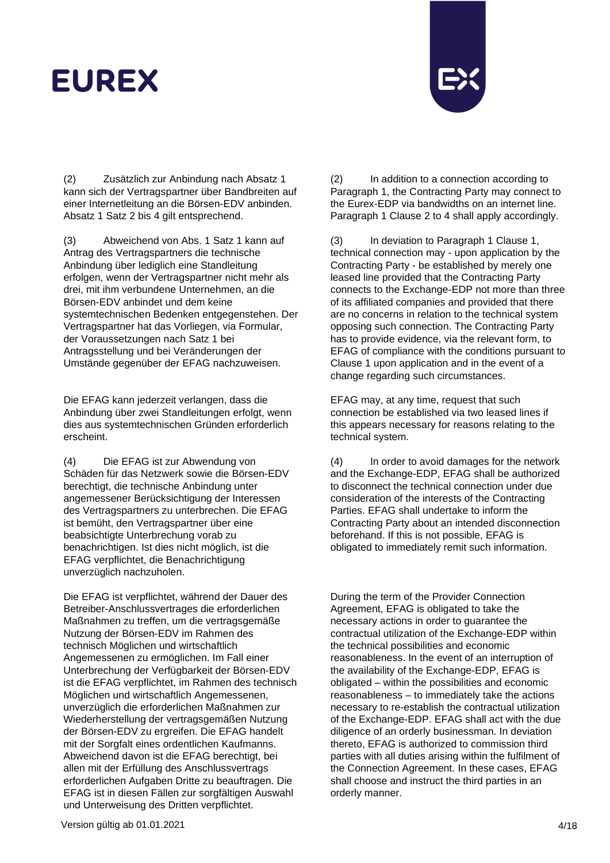

(2) Zusätzlich zur Anbindung nach Absatz 1 kann sich der Vertragspartner über Bandbreiten auf einer Internetleitung an die Börsen-EDV anbinden. Absatz 1 Satz 2 bis 4 gilt entsprechend.

(3) Abweichend von Abs. 1 Satz 1 kann auf Antrag des Vertragspartners die technische Anbindung über lediglich eine Standleitung erfolgen, wenn der Vertragspartner nicht mehr als drei, mit ihm verbundene Unternehmen, an die Börsen-EDV anbindet und dem keine systemtechnischen Bedenken entgegenstehen. Der Vertragspartner hat das Vorliegen, via Formular, der Voraussetzungen nach Satz 1 bei Antragsstellung und bei Veränderungen der Umstände gegenüber der EFAG nachzuweisen.

Die EFAG kann jederzeit verlangen, dass die Anbindung über zwei Standleitungen erfolgt, wenn dies aus systemtechnischen Gründen erforderlich erscheint.

(4) Die EFAG ist zur Abwendung von Schäden für das Netzwerk sowie die Börsen-EDV berechtigt, die technische Anbindung unter angemessener Berücksichtigung der Interessen des Vertragspartners zu unterbrechen. Die EFAG ist bemüht, den Vertragspartner über eine beabsichtigte Unterbrechung vorab zu benachrichtigen. Ist dies nicht möglich, ist die EFAG verpflichtet, die Benachrichtigung unverzüglich nachzuholen.

Die EFAG ist verpflichtet, während der Dauer des Betreiber-Anschlussvertrages die erforderlichen Maßnahmen zu treffen, um die vertragsgemäße Nutzung der Börsen-EDV im Rahmen des technisch Möglichen und wirtschaftlich Angemessenen zu ermöglichen. Im Fall einer Unterbrechung der Verfügbarkeit der Börsen-EDV ist die EFAG verpflichtet, im Rahmen des technisch Möglichen und wirtschaftlich Angemessenen, unverzüglich die erforderlichen Maßnahmen zur Wiederherstellung der vertragsgemäßen Nutzung der Börsen-EDV zu ergreifen. Die EFAG handelt mit der Sorgfalt eines ordentlichen Kaufmanns. Abweichend davon ist die EFAG berechtigt, bei allen mit der Erfüllung des Anschlussvertrags erforderlichen Aufgaben Dritte zu beauftragen. Die EFAG ist in diesen Fällen zur sorgfältigen Auswahl und Unterweisung des Dritten verpflichtet.

(2) In addition to a connection according to Paragraph 1, the Contracting Party may connect to the Eurex-EDP via bandwidths on an internet line. Paragraph 1 Clause 2 to 4 shall apply accordingly.

(3) In deviation to Paragraph 1 Clause 1, technical connection may - upon application by the Contracting Party - be established by merely one leased line provided that the Contracting Party connects to the Exchange-EDP not more than three of its affiliated companies and provided that there are no concerns in relation to the technical system opposing such connection. The Contracting Party has to provide evidence, via the relevant form, to EFAG of compliance with the conditions pursuant to Clause 1 upon application and in the event of a change regarding such circumstances.

EFAG may, at any time, request that such connection be established via two leased lines if this appears necessary for reasons relating to the technical system.

(4) In order to avoid damages for the network and the Exchange-EDP, EFAG shall be authorized to disconnect the technical connection under due consideration of the interests of the Contracting Parties. EFAG shall undertake to inform the Contracting Party about an intended disconnection beforehand. If this is not possible, EFAG is obligated to immediately remit such information.

During the term of the Provider Connection Agreement, EFAG is obligated to take the necessary actions in order to guarantee the contractual utilization of the Exchange-EDP within the technical possibilities and economic reasonableness. In the event of an interruption of the availability of the Exchange-EDP, EFAG is obligated – within the possibilities and economic reasonableness – to immediately take the actions necessary to re-establish the contractual utilization of the Exchange-EDP. EFAG shall act with the due diligence of an orderly businessman. In deviation thereto, EFAG is authorized to commission third parties with all duties arising within the fulfilment of the Connection Agreement. In these cases, EFAG shall choose and instruct the third parties in an orderly manner.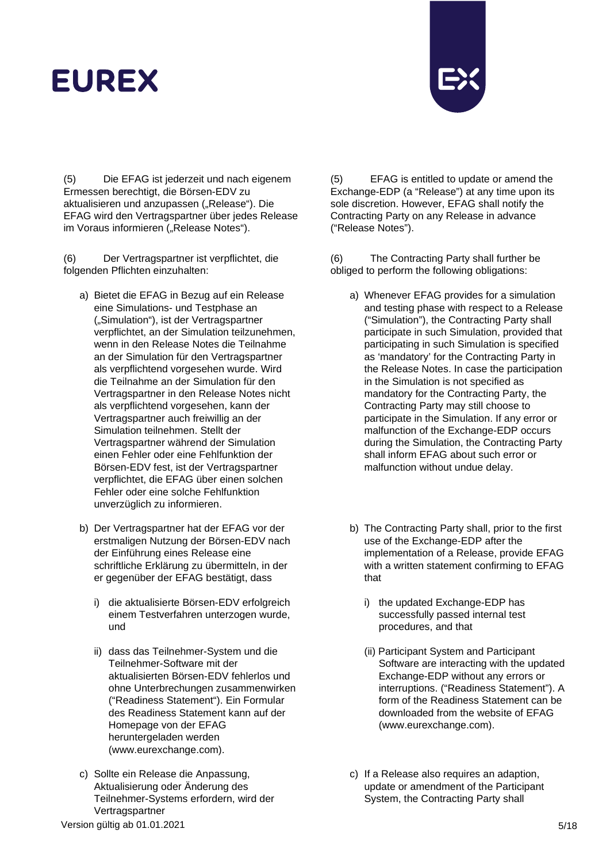

(5) Die EFAG ist jederzeit und nach eigenem Ermessen berechtigt, die Börsen-EDV zu aktualisieren und anzupassen ("Release"). Die EFAG wird den Vertragspartner über jedes Release im Voraus informieren ("Release Notes").

(6) Der Vertragspartner ist verpflichtet, die folgenden Pflichten einzuhalten:

- a) Bietet die EFAG in Bezug auf ein Release eine Simulations- und Testphase an ("Simulation"), ist der Vertragspartner verpflichtet, an der Simulation teilzunehmen, wenn in den Release Notes die Teilnahme an der Simulation für den Vertragspartner als verpflichtend vorgesehen wurde. Wird die Teilnahme an der Simulation für den Vertragspartner in den Release Notes nicht als verpflichtend vorgesehen, kann der Vertragspartner auch freiwillig an der Simulation teilnehmen. Stellt der Vertragspartner während der Simulation einen Fehler oder eine Fehlfunktion der Börsen-EDV fest, ist der Vertragspartner verpflichtet, die EFAG über einen solchen Fehler oder eine solche Fehlfunktion unverzüglich zu informieren.
- b) Der Vertragspartner hat der EFAG vor der erstmaligen Nutzung der Börsen-EDV nach der Einführung eines Release eine schriftliche Erklärung zu übermitteln, in der er gegenüber der EFAG bestätigt, dass
	- i) die aktualisierte Börsen-EDV erfolgreich einem Testverfahren unterzogen wurde, und
	- ii) dass das Teilnehmer-System und die Teilnehmer-Software mit der aktualisierten Börsen-EDV fehlerlos und ohne Unterbrechungen zusammenwirken ("Readiness Statement"). Ein Formular des Readiness Statement kann auf der Homepage von der EFAG heruntergeladen werden [\(www.eurexchange.com\)](http://www.eurexchange.com/).
- c) Sollte ein Release die Anpassung, Aktualisierung oder Änderung des Teilnehmer-Systems erfordern, wird der Vertragspartner

(5) EFAG is entitled to update or amend the Exchange-EDP (a "Release") at any time upon its sole discretion. However, EFAG shall notify the Contracting Party on any Release in advance ("Release Notes").

(6) The Contracting Party shall further be obliged to perform the following obligations:

- a) Whenever EFAG provides for a simulation and testing phase with respect to a Release ("Simulation"), the Contracting Party shall participate in such Simulation, provided that participating in such Simulation is specified as 'mandatory' for the Contracting Party in the Release Notes. In case the participation in the Simulation is not specified as mandatory for the Contracting Party, the Contracting Party may still choose to participate in the Simulation. If any error or malfunction of the Exchange-EDP occurs during the Simulation, the Contracting Party shall inform EFAG about such error or malfunction without undue delay.
- b) The Contracting Party shall, prior to the first use of the Exchange-EDP after the implementation of a Release, provide EFAG with a written statement confirming to EFAG that
	- i) the updated Exchange-EDP has successfully passed internal test procedures, and that
	- (ii) Participant System and Participant Software are interacting with the updated Exchange-EDP without any errors or interruptions. ("Readiness Statement"). A form of the Readiness Statement can be downloaded from the website of EFAG [\(www.eurexchange.com\)](http://www.eurexchange.com/).
- c) If a Release also requires an adaption, update or amendment of the Participant System, the Contracting Party shall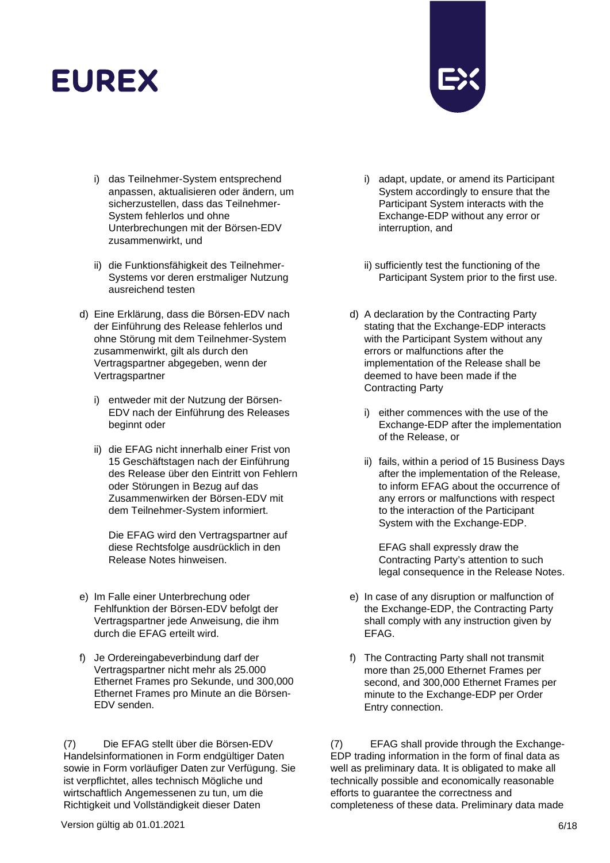

- i) das Teilnehmer-System entsprechend anpassen, aktualisieren oder ändern, um sicherzustellen, dass das Teilnehmer-System fehlerlos und ohne Unterbrechungen mit der Börsen-EDV zusammenwirkt, und
- ii) die Funktionsfähigkeit des Teilnehmer-Systems vor deren erstmaliger Nutzung ausreichend testen
- d) Eine Erklärung, dass die Börsen-EDV nach der Einführung des Release fehlerlos und ohne Störung mit dem Teilnehmer-System zusammenwirkt, gilt als durch den Vertragspartner abgegeben, wenn der Vertragspartner
	- i) entweder mit der Nutzung der Börsen-EDV nach der Einführung des Releases beginnt oder
	- ii) die EFAG nicht innerhalb einer Frist von 15 Geschäftstagen nach der Einführung des Release über den Eintritt von Fehlern oder Störungen in Bezug auf das Zusammenwirken der Börsen-EDV mit dem Teilnehmer-System informiert.

Die EFAG wird den Vertragspartner auf diese Rechtsfolge ausdrücklich in den Release Notes hinweisen.

- e) Im Falle einer Unterbrechung oder Fehlfunktion der Börsen-EDV befolgt der Vertragspartner jede Anweisung, die ihm durch die EFAG erteilt wird.
- f) Je Ordereingabeverbindung darf der Vertragspartner nicht mehr als 25.000 Ethernet Frames pro Sekunde, und 300,000 Ethernet Frames pro Minute an die Börsen-EDV senden.

(7) Die EFAG stellt über die Börsen-EDV Handelsinformationen in Form endgültiger Daten sowie in Form vorläufiger Daten zur Verfügung. Sie ist verpflichtet, alles technisch Mögliche und wirtschaftlich Angemessenen zu tun, um die Richtigkeit und Vollständigkeit dieser Daten

- i) adapt, update, or amend its Participant System accordingly to ensure that the Participant System interacts with the Exchange-EDP without any error or interruption, and
- ii) sufficiently test the functioning of the Participant System prior to the first use.
- d) A declaration by the Contracting Party stating that the Exchange-EDP interacts with the Participant System without any errors or malfunctions after the implementation of the Release shall be deemed to have been made if the Contracting Party
	- i) either commences with the use of the Exchange-EDP after the implementation of the Release, or
	- ii) fails, within a period of 15 Business Days after the implementation of the Release, to inform EFAG about the occurrence of any errors or malfunctions with respect to the interaction of the Participant System with the Exchange-EDP.

EFAG shall expressly draw the Contracting Party's attention to such legal consequence in the Release Notes.

- e) In case of any disruption or malfunction of the Exchange-EDP, the Contracting Party shall comply with any instruction given by EFAG.
- f) The Contracting Party shall not transmit more than 25,000 Ethernet Frames per second, and 300,000 Ethernet Frames per minute to the Exchange-EDP per Order Entry connection.

(7) EFAG shall provide through the Exchange-EDP trading information in the form of final data as well as preliminary data. It is obligated to make all technically possible and economically reasonable efforts to guarantee the correctness and completeness of these data. Preliminary data made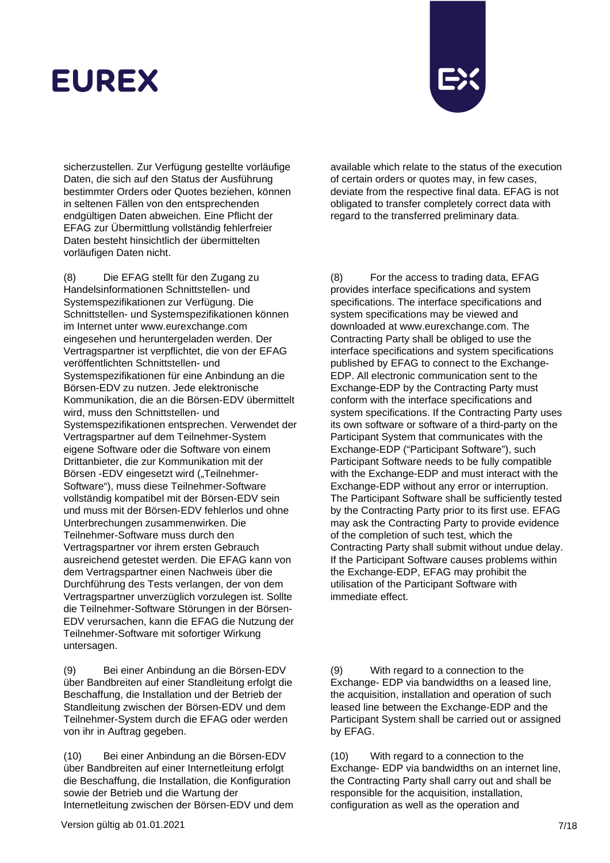

sicherzustellen. Zur Verfügung gestellte vorläufige Daten, die sich auf den Status der Ausführung bestimmter Orders oder Quotes beziehen, können in seltenen Fällen von den entsprechenden endgültigen Daten abweichen. Eine Pflicht der EFAG zur Übermittlung vollständig fehlerfreier Daten besteht hinsichtlich der übermittelten vorläufigen Daten nicht.

(8) Die EFAG stellt für den Zugang zu Handelsinformationen Schnittstellen- und Systemspezifikationen zur Verfügung. Die Schnittstellen- und Systemspezifikationen können im Internet unter www.eurexchange.com eingesehen und heruntergeladen werden. Der Vertragspartner ist verpflichtet, die von der EFAG veröffentlichten Schnittstellen- und Systemspezifikationen für eine Anbindung an die Börsen-EDV zu nutzen. Jede elektronische Kommunikation, die an die Börsen-EDV übermittelt wird, muss den Schnittstellen- und Systemspezifikationen entsprechen. Verwendet der Vertragspartner auf dem Teilnehmer-System eigene Software oder die Software von einem Drittanbieter, die zur Kommunikation mit der Börsen -EDV eingesetzt wird ("Teilnehmer-Software"), muss diese Teilnehmer-Software vollständig kompatibel mit der Börsen-EDV sein und muss mit der Börsen-EDV fehlerlos und ohne Unterbrechungen zusammenwirken. Die Teilnehmer-Software muss durch den Vertragspartner vor ihrem ersten Gebrauch ausreichend getestet werden. Die EFAG kann von dem Vertragspartner einen Nachweis über die Durchführung des Tests verlangen, der von dem Vertragspartner unverzüglich vorzulegen ist. Sollte die Teilnehmer-Software Störungen in der Börsen-EDV verursachen, kann die EFAG die Nutzung der Teilnehmer-Software mit sofortiger Wirkung untersagen.

(9) Bei einer Anbindung an die Börsen-EDV über Bandbreiten auf einer Standleitung erfolgt die Beschaffung, die Installation und der Betrieb der Standleitung zwischen der Börsen-EDV und dem Teilnehmer-System durch die EFAG oder werden von ihr in Auftrag gegeben.

(10) Bei einer Anbindung an die Börsen-EDV über Bandbreiten auf einer Internetleitung erfolgt die Beschaffung, die Installation, die Konfiguration sowie der Betrieb und die Wartung der Internetleitung zwischen der Börsen-EDV und dem available which relate to the status of the execution of certain orders or quotes may, in few cases, deviate from the respective final data. EFAG is not obligated to transfer completely correct data with regard to the transferred preliminary data.

(8) For the access to trading data, EFAG provides interface specifications and system specifications. The interface specifications and system specifications may be viewed and downloaded at www.eurexchange.com. The Contracting Party shall be obliged to use the interface specifications and system specifications published by EFAG to connect to the Exchange-EDP. All electronic communication sent to the Exchange-EDP by the Contracting Party must conform with the interface specifications and system specifications. If the Contracting Party uses its own software or software of a third-party on the Participant System that communicates with the Exchange-EDP ("Participant Software"), such Participant Software needs to be fully compatible with the Exchange-EDP and must interact with the Exchange-EDP without any error or interruption. The Participant Software shall be sufficiently tested by the Contracting Party prior to its first use. EFAG may ask the Contracting Party to provide evidence of the completion of such test, which the Contracting Party shall submit without undue delay. If the Participant Software causes problems within the Exchange-EDP, EFAG may prohibit the utilisation of the Participant Software with immediate effect.

(9) With regard to a connection to the Exchange- EDP via bandwidths on a leased line, the acquisition, installation and operation of such leased line between the Exchange-EDP and the Participant System shall be carried out or assigned by EFAG.

(10) With regard to a connection to the Exchange- EDP via bandwidths on an internet line, the Contracting Party shall carry out and shall be responsible for the acquisition, installation, configuration as well as the operation and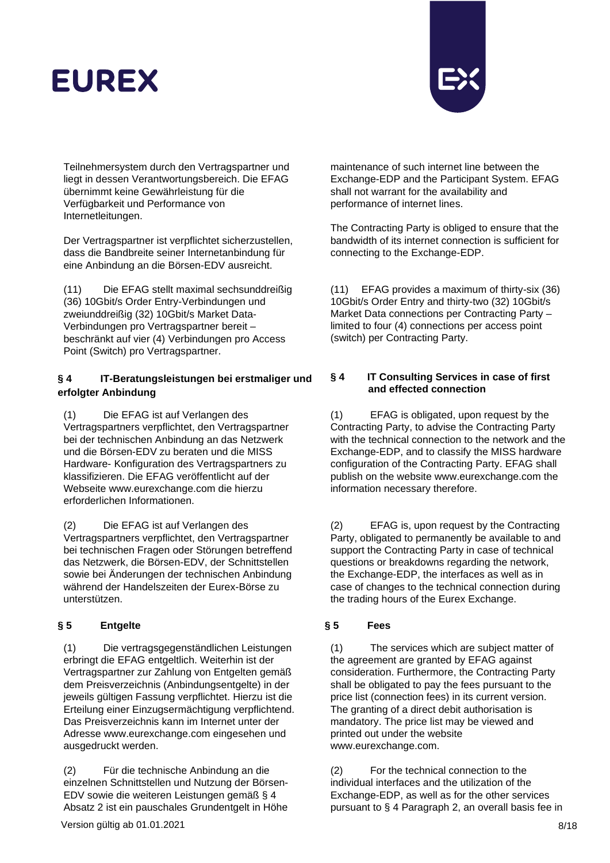

Teilnehmersystem durch den Vertragspartner und liegt in dessen Verantwortungsbereich. Die EFAG übernimmt keine Gewährleistung für die Verfügbarkeit und Performance von Internetleitungen.

Der Vertragspartner ist verpflichtet sicherzustellen, dass die Bandbreite seiner Internetanbindung für eine Anbindung an die Börsen-EDV ausreicht.

(11) Die EFAG stellt maximal sechsunddreißig (36) 10Gbit/s Order Entry-Verbindungen und zweiunddreißig (32) 10Gbit/s Market Data-Verbindungen pro Vertragspartner bereit – beschränkt auf vier (4) Verbindungen pro Access Point (Switch) pro Vertragspartner.

## **§ 4 IT-Beratungsleistungen bei erstmaliger und erfolgter Anbindung**

(1) Die EFAG ist auf Verlangen des Vertragspartners verpflichtet, den Vertragspartner bei der technischen Anbindung an das Netzwerk und die Börsen-EDV zu beraten und die MISS Hardware- Konfiguration des Vertragspartners zu klassifizieren. [Die EFAG veröffentlicht auf der](http://www/)  [Webseite www.e](http://www/)urexchange.com die hierzu erforderlichen Informationen.

(2) Die EFAG ist auf Verlangen des Vertragspartners verpflichtet, den Vertragspartner bei technischen Fragen oder Störungen betreffend das Netzwerk, die Börsen-EDV, der Schnittstellen sowie bei Änderungen der technischen Anbindung während der Handelszeiten der Eurex-Börse zu unterstützen.

## **§ 5 Entgelte § 5 Fees**

(1) Die vertragsgegenständlichen Leistungen erbringt die EFAG entgeltlich. Weiterhin ist der Vertragspartner zur Zahlung von Entgelten gemäß dem Preisverzeichnis (Anbindungsentgelte) in der jeweils gültigen Fassung verpflichtet. Hierzu ist die Erteilung einer Einzugsermächtigung verpflichtend. Das Preisverzeichnis kann im Internet unter der Adresse www.eurexchange.com eingesehen und ausgedruckt werden.

(2) Für die technische Anbindung an die einzelnen Schnittstellen und Nutzung der Börsen-EDV sowie die weiteren Leistungen gemäß § 4 Absatz 2 ist ein pauschales Grundentgelt in Höhe

maintenance of such internet line between the Exchange-EDP and the Participant System. EFAG shall not warrant for the availability and performance of internet lines.

The Contracting Party is obliged to ensure that the bandwidth of its internet connection is sufficient for connecting to the Exchange-EDP.

(11) EFAG provides a maximum of thirty-six (36) 10Gbit/s Order Entry and thirty-two (32) 10Gbit/s Market Data connections per Contracting Party – limited to four (4) connections per access point (switch) per Contracting Party.

## **§ 4 IT Consulting Services in case of first and effected connection**

(1) EFAG is obligated, upon request by the Contracting Party, to advise the Contracting Party with the technical connection to the network and the Exchange-EDP, and to classify the MISS hardware configuration of the Contracting Party. EFAG shal[l](http://www.eurexchange.com/) [publish on the website www.eurexchange.com](http://www.eurexchange.com/) the information necessary therefore.

(2) EFAG is, upon request by the Contracting Party, obligated to permanently be available to and support the Contracting Party in case of technical questions or breakdowns regarding the network, the Exchange-EDP, the interfaces as well as in case of changes to the technical connection during the trading hours of the Eurex Exchange.

(1) The services which are subject matter of the agreement are granted by EFAG against consideration. Furthermore, the Contracting Party shall be obligated to pay the fees pursuant to the price list (connection fees) in its current version. The granting of a direct debit authorisation is mandatory. The price list may be viewed and printed out under the website www.eurexchange.com.

(2) For the technical connection to the individual interfaces and the utilization of the Exchange-EDP, as well as for the other services pursuant to § 4 Paragraph 2, an overall basis fee in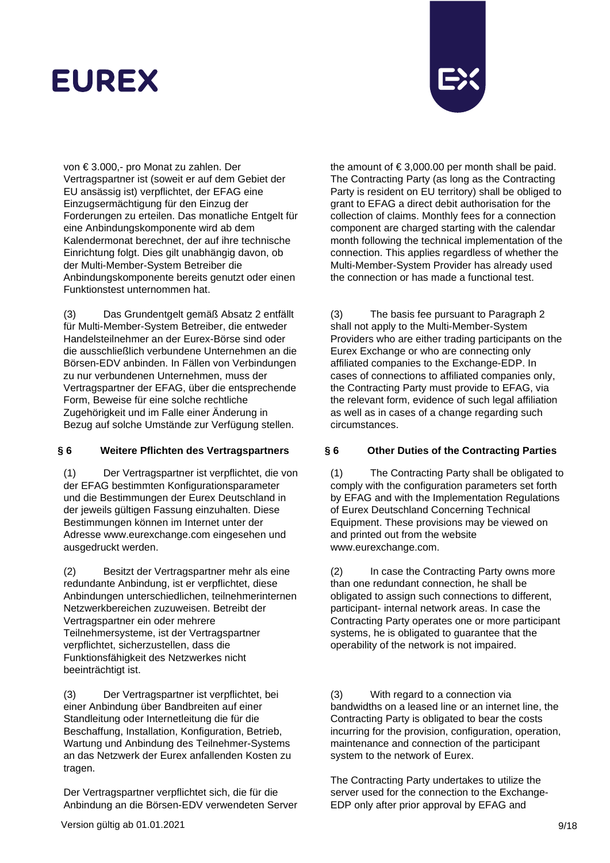

von € 3.000,- pro Monat zu zahlen. Der Vertragspartner ist (soweit er auf dem Gebiet der EU ansässig ist) verpflichtet, der EFAG eine Einzugsermächtigung für den Einzug der Forderungen zu erteilen. Das monatliche Entgelt für eine Anbindungskomponente wird ab dem Kalendermonat berechnet, der auf ihre technische Einrichtung folgt. Dies gilt unabhängig davon, ob der Multi-Member-System Betreiber die Anbindungskomponente bereits genutzt oder einen Funktionstest unternommen hat.

(3) Das Grundentgelt gemäß Absatz 2 entfällt für Multi-Member-System Betreiber, die entweder Handelsteilnehmer an der Eurex-Börse sind oder die ausschließlich verbundene Unternehmen an die Börsen-EDV anbinden. In Fällen von Verbindungen zu nur verbundenen Unternehmen, muss der Vertragspartner der EFAG, über die entsprechende Form, Beweise für eine solche rechtliche Zugehörigkeit und im Falle einer Änderung in Bezug auf solche Umstände zur Verfügung stellen.

(1) Der Vertragspartner ist verpflichtet, die von der EFAG bestimmten Konfigurationsparameter und die Bestimmungen der Eurex Deutschland in der jeweils gültigen Fassung einzuhalten. Diese Bestimmungen können im Internet unter der Adresse www.eurexchange.com eingesehen und ausgedruckt werden.

(2) Besitzt der Vertragspartner mehr als eine redundante Anbindung, ist er verpflichtet, diese Anbindungen unterschiedlichen, teilnehmerinternen Netzwerkbereichen zuzuweisen. Betreibt der Vertragspartner ein oder mehrere Teilnehmersysteme, ist der Vertragspartner verpflichtet, sicherzustellen, dass die Funktionsfähigkeit des Netzwerkes nicht beeinträchtigt ist.

(3) Der Vertragspartner ist verpflichtet, bei einer Anbindung über Bandbreiten auf einer Standleitung oder Internetleitung die für die Beschaffung, Installation, Konfiguration, Betrieb, Wartung und Anbindung des Teilnehmer-Systems an das Netzwerk der Eurex anfallenden Kosten zu tragen.

Der Vertragspartner verpflichtet sich, die für die Anbindung an die Börsen-EDV verwendeten Server

the amount of  $\text{\large\ensuremath{\in}} 3,000.00$  per month shall be paid. The Contracting Party (as long as the Contracting Party is resident on EU territory) shall be obliged to grant to EFAG a direct debit authorisation for the collection of claims. Monthly fees for a connection component are charged starting with the calendar month following the technical implementation of the connection. This applies regardless of whether the Multi-Member-System Provider has already used the connection or has made a functional test.

(3) The basis fee pursuant to Paragraph 2 shall not apply to the Multi-Member-System Providers who are either trading participants on the Eurex Exchange or who are connecting only affiliated companies to the Exchange-EDP. In cases of connections to affiliated companies only, the Contracting Party must provide to EFAG, via the relevant form, evidence of such legal affiliation as well as in cases of a change regarding such circumstances.

### **§ 6 Weitere Pflichten des Vertragspartners § 6 Other Duties of the Contracting Parties**

(1) The Contracting Party shall be obligated to comply with the configuration parameters set forth by EFAG and with the Implementation Regulations of Eurex Deutschland Concerning Technical Equipment. These provisions may be viewed on and printed out from the website www.eurexchange.com.

(2) In case the Contracting Party owns more than one redundant connection, he shall be obligated to assign such connections to different, participant- internal network areas. In case the Contracting Party operates one or more participant systems, he is obligated to guarantee that the operability of the network is not impaired.

(3) With regard to a connection via bandwidths on a leased line or an internet line, the Contracting Party is obligated to bear the costs incurring for the provision, configuration, operation, maintenance and connection of the participant system to the network of Eurex.

The Contracting Party undertakes to utilize the server used for the connection to the Exchange-EDP only after prior approval by EFAG and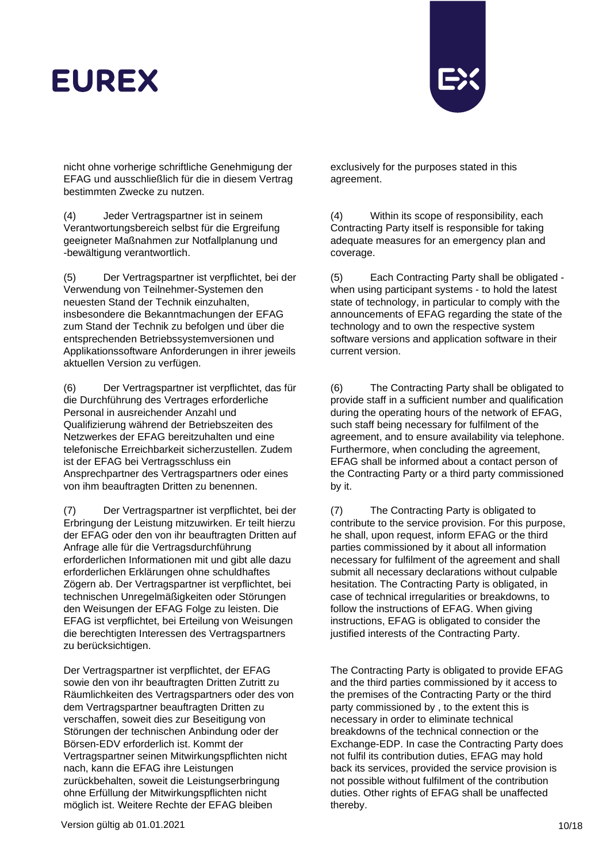

nicht ohne vorherige schriftliche Genehmigung der EFAG und ausschließlich für die in diesem Vertrag bestimmten Zwecke zu nutzen.

(4) Jeder Vertragspartner ist in seinem Verantwortungsbereich selbst für die Ergreifung geeigneter Maßnahmen zur Notfallplanung und -bewältigung verantwortlich.

(5) Der Vertragspartner ist verpflichtet, bei der Verwendung von Teilnehmer-Systemen den neuesten Stand der Technik einzuhalten, insbesondere die Bekanntmachungen der EFAG zum Stand der Technik zu befolgen und über die entsprechenden Betriebssystemversionen und Applikationssoftware Anforderungen in ihrer jeweils aktuellen Version zu verfügen.

(6) Der Vertragspartner ist verpflichtet, das für die Durchführung des Vertrages erforderliche Personal in ausreichender Anzahl und Qualifizierung während der Betriebszeiten des Netzwerkes der EFAG bereitzuhalten und eine telefonische Erreichbarkeit sicherzustellen. Zudem ist der EFAG bei Vertragsschluss ein Ansprechpartner des Vertragspartners oder eines von ihm beauftragten Dritten zu benennen.

(7) Der Vertragspartner ist verpflichtet, bei der Erbringung der Leistung mitzuwirken. Er teilt hierzu der EFAG oder den von ihr beauftragten Dritten auf Anfrage alle für die Vertragsdurchführung erforderlichen Informationen mit und gibt alle dazu erforderlichen Erklärungen ohne schuldhaftes Zögern ab. Der Vertragspartner ist verpflichtet, bei technischen Unregelmäßigkeiten oder Störungen den Weisungen der EFAG Folge zu leisten. Die EFAG ist verpflichtet, bei Erteilung von Weisungen die berechtigten Interessen des Vertragspartners zu berücksichtigen.

Der Vertragspartner ist verpflichtet, der EFAG sowie den von ihr beauftragten Dritten Zutritt zu Räumlichkeiten des Vertragspartners oder des von dem Vertragspartner beauftragten Dritten zu verschaffen, soweit dies zur Beseitigung von Störungen der technischen Anbindung oder der Börsen-EDV erforderlich ist. Kommt der Vertragspartner seinen Mitwirkungspflichten nicht nach, kann die EFAG ihre Leistungen zurückbehalten, soweit die Leistungserbringung ohne Erfüllung der Mitwirkungspflichten nicht möglich ist. Weitere Rechte der EFAG bleiben

exclusively for the purposes stated in this agreement.

(4) Within its scope of responsibility, each Contracting Party itself is responsible for taking adequate measures for an emergency plan and coverage.

(5) Each Contracting Party shall be obligated when using participant systems - to hold the latest state of technology, in particular to comply with the announcements of EFAG regarding the state of the technology and to own the respective system software versions and application software in their current version.

(6) The Contracting Party shall be obligated to provide staff in a sufficient number and qualification during the operating hours of the network of EFAG, such staff being necessary for fulfilment of the agreement, and to ensure availability via telephone. Furthermore, when concluding the agreement, EFAG shall be informed about a contact person of the Contracting Party or a third party commissioned by it.

(7) The Contracting Party is obligated to contribute to the service provision. For this purpose, he shall, upon request, inform EFAG or the third parties commissioned by it about all information necessary for fulfilment of the agreement and shall submit all necessary declarations without culpable hesitation. The Contracting Party is obligated, in case of technical irregularities or breakdowns, to follow the instructions of EFAG. When giving instructions, EFAG is obligated to consider the justified interests of the Contracting Party.

The Contracting Party is obligated to provide EFAG and the third parties commissioned by it access to the premises of the Contracting Party or the third party commissioned by , to the extent this is necessary in order to eliminate technical breakdowns of the technical connection or the Exchange-EDP. In case the Contracting Party does not fulfil its contribution duties, EFAG may hold back its services, provided the service provision is not possible without fulfilment of the contribution duties. Other rights of EFAG shall be unaffected thereby.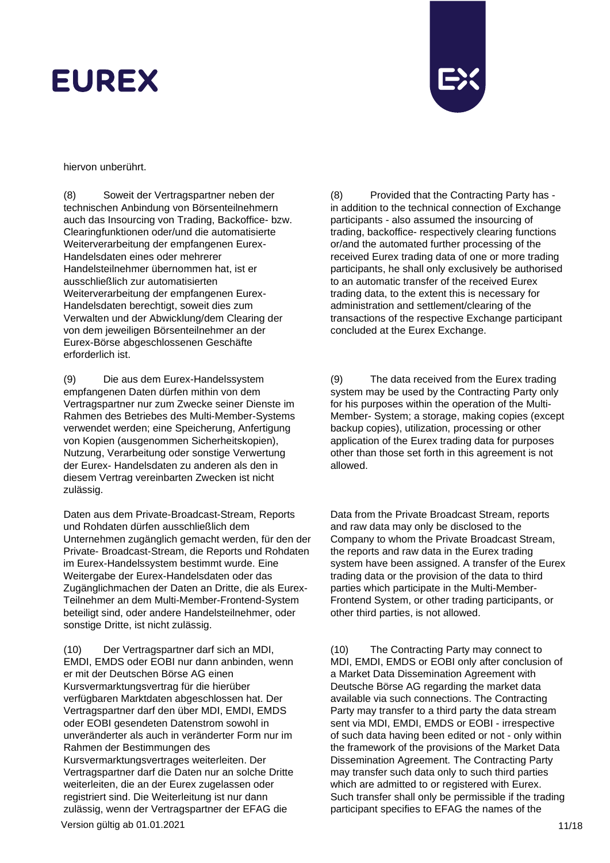

hiervon unberührt.

(8) Soweit der Vertragspartner neben der technischen Anbindung von Börsenteilnehmern auch das Insourcing von Trading, Backoffice- bzw. Clearingfunktionen oder/und die automatisierte Weiterverarbeitung der empfangenen Eurex-Handelsdaten eines oder mehrerer Handelsteilnehmer übernommen hat, ist er ausschließlich zur automatisierten Weiterverarbeitung der empfangenen Eurex-Handelsdaten berechtigt, soweit dies zum Verwalten und der Abwicklung/dem Clearing der von dem jeweiligen Börsenteilnehmer an der Eurex-Börse abgeschlossenen Geschäfte erforderlich ist.

(9) Die aus dem Eurex-Handelssystem empfangenen Daten dürfen mithin von dem Vertragspartner nur zum Zwecke seiner Dienste im Rahmen des Betriebes des Multi-Member-Systems verwendet werden; eine Speicherung, Anfertigung von Kopien (ausgenommen Sicherheitskopien), Nutzung, Verarbeitung oder sonstige Verwertung der Eurex- Handelsdaten zu anderen als den in diesem Vertrag vereinbarten Zwecken ist nicht zulässig.

Daten aus dem Private-Broadcast-Stream, Reports und Rohdaten dürfen ausschließlich dem Unternehmen zugänglich gemacht werden, für den der Private- Broadcast-Stream, die Reports und Rohdaten im Eurex-Handelssystem bestimmt wurde. Eine Weitergabe der Eurex-Handelsdaten oder das Zugänglichmachen der Daten an Dritte, die als Eurex-Teilnehmer an dem Multi-Member-Frontend-System beteiligt sind, oder andere Handelsteilnehmer, oder sonstige Dritte, ist nicht zulässig.

Version gültig ab 01.01.2021 11/18 (10) Der Vertragspartner darf sich an MDI, EMDI, EMDS oder EOBI nur dann anbinden, wenn er mit der Deutschen Börse AG einen Kursvermarktungsvertrag für die hierüber verfügbaren Marktdaten abgeschlossen hat. Der Vertragspartner darf den über MDI, EMDI, EMDS oder EOBI gesendeten Datenstrom sowohl in unveränderter als auch in veränderter Form nur im Rahmen der Bestimmungen des Kursvermarktungsvertrages weiterleiten. Der Vertragspartner darf die Daten nur an solche Dritte weiterleiten, die an der Eurex zugelassen oder registriert sind. Die Weiterleitung ist nur dann zulässig, wenn der Vertragspartner der EFAG die

(8) Provided that the Contracting Party has in addition to the technical connection of Exchange participants - also assumed the insourcing of trading, backoffice- respectively clearing functions or/and the automated further processing of the received Eurex trading data of one or more trading participants, he shall only exclusively be authorised to an automatic transfer of the received Eurex trading data, to the extent this is necessary for administration and settlement/clearing of the transactions of the respective Exchange participant concluded at the Eurex Exchange.

(9) The data received from the Eurex trading system may be used by the Contracting Party only for his purposes within the operation of the Multi-Member- System; a storage, making copies (except backup copies), utilization, processing or other application of the Eurex trading data for purposes other than those set forth in this agreement is not allowed.

Data from the Private Broadcast Stream, reports and raw data may only be disclosed to the Company to whom the Private Broadcast Stream, the reports and raw data in the Eurex trading system have been assigned. A transfer of the Eurex trading data or the provision of the data to third parties which participate in the Multi-Member-Frontend System, or other trading participants, or other third parties, is not allowed.

(10) The Contracting Party may connect to MDI, EMDI, EMDS or EOBI only after conclusion of a Market Data Dissemination Agreement with Deutsche Börse AG regarding the market data available via such connections. The Contracting Party may transfer to a third party the data stream sent via MDI, EMDI, EMDS or EOBI - irrespective of such data having been edited or not - only within the framework of the provisions of the Market Data Dissemination Agreement. The Contracting Party may transfer such data only to such third parties which are admitted to or registered with Eurex. Such transfer shall only be permissible if the trading participant specifies to EFAG the names of the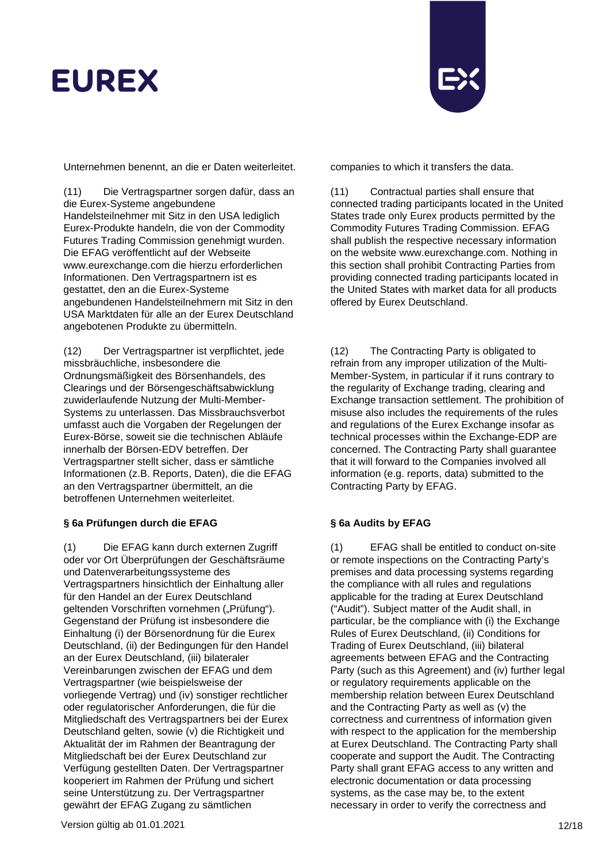

Unternehmen benennt, an die er Daten weiterleitet. companies to which it transfers the data.

(11) Die Vertragspartner sorgen dafür, dass an die Eurex-Systeme angebundene Handelsteilnehmer mit Sitz in den USA lediglich Eurex-Produkte handeln, die von der Commodity Futures Trading Commission genehmigt wurden. Die EFAG veröffentlicht auf der Webseite www.eurexchange.com die hierzu erforderlichen Informationen. Den Vertragspartnern ist es gestattet, den an die Eurex-Systeme angebundenen Handelsteilnehmern mit Sitz in den USA Marktdaten für alle an der Eurex Deutschland angebotenen Produkte zu übermitteln.

(12) Der Vertragspartner ist verpflichtet, jede missbräuchliche, insbesondere die Ordnungsmäßigkeit des Börsenhandels, des Clearings und der Börsengeschäftsabwicklung zuwiderlaufende Nutzung der Multi-Member-Systems zu unterlassen. Das Missbrauchsverbot umfasst auch die Vorgaben der Regelungen der Eurex-Börse, soweit sie die technischen Abläufe innerhalb der Börsen-EDV betreffen. Der Vertragspartner stellt sicher, dass er sämtliche Informationen (z.B. Reports, Daten), die die EFAG an den Vertragspartner übermittelt, an die betroffenen Unternehmen weiterleitet.

## **§ 6a Prüfungen durch die EFAG § 6a Audits by EFAG**

(1) Die EFAG kann durch externen Zugriff oder vor Ort Überprüfungen der Geschäftsräume und Datenverarbeitungssysteme des Vertragspartners hinsichtlich der Einhaltung aller für den Handel an der Eurex Deutschland geltenden Vorschriften vornehmen ("Prüfung"). Gegenstand der Prüfung ist insbesondere die Einhaltung (i) der Börsenordnung für die Eurex Deutschland, (ii) der Bedingungen für den Handel an der Eurex Deutschland, (iii) bilateraler Vereinbarungen zwischen der EFAG und dem Vertragspartner (wie beispielsweise der vorliegende Vertrag) und (iv) sonstiger rechtlicher oder regulatorischer Anforderungen, die für die Mitgliedschaft des Vertragspartners bei der Eurex Deutschland gelten, sowie (v) die Richtigkeit und Aktualität der im Rahmen der Beantragung der Mitgliedschaft bei der Eurex Deutschland zur Verfügung gestellten Daten. Der Vertragspartner kooperiert im Rahmen der Prüfung und sichert seine Unterstützung zu. Der Vertragspartner gewährt der EFAG Zugang zu sämtlichen

(11) Contractual parties shall ensure that connected trading participants located in the United States trade only Eurex products permitted by the Commodity Futures Trading Commission. EFAG shall publish the respective necessary [information](http://www.eurexchange.com/)  [on the website www.eurexchange.com.](http://www.eurexchange.com/) Nothing in this section shall prohibit Contracting Parties from providing connected trading participants located in the United States with market data for all products offered by Eurex Deutschland.

(12) The Contracting Party is obligated to refrain from any improper utilization of the Multi-Member-System, in particular if it runs contrary to the regularity of Exchange trading, clearing and Exchange transaction settlement. The prohibition of misuse also includes the requirements of the rules and regulations of the Eurex Exchange insofar as technical processes within the Exchange-EDP are concerned. The Contracting Party shall guarantee that it will forward to the Companies involved all information (e.g. reports, data) submitted to the Contracting Party by EFAG.

(1) EFAG shall be entitled to conduct on-site or remote inspections on the Contracting Party's premises and data processing systems regarding the compliance with all rules and regulations applicable for the trading at Eurex Deutschland ("Audit"). Subject matter of the Audit shall, in particular, be the compliance with (i) the Exchange Rules of Eurex Deutschland, (ii) Conditions for Trading of Eurex Deutschland, (iii) bilateral agreements between EFAG and the Contracting Party (such as this Agreement) and (iv) further legal or regulatory requirements applicable on the membership relation between Eurex Deutschland and the Contracting Party as well as (v) the correctness and currentness of information given with respect to the application for the membership at Eurex Deutschland. The Contracting Party shall cooperate and support the Audit. The Contracting Party shall grant EFAG access to any written and electronic documentation or data processing systems, as the case may be, to the extent necessary in order to verify the correctness and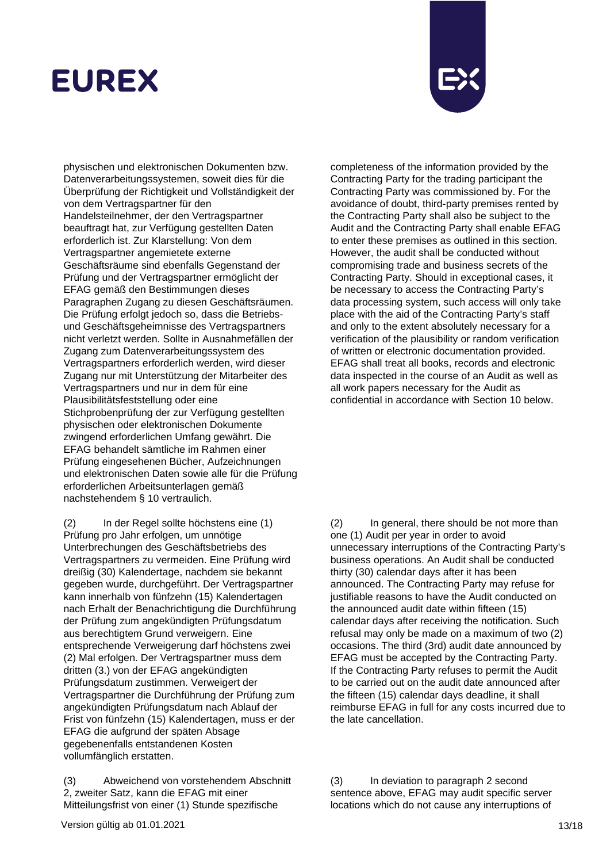

physischen und elektronischen Dokumenten bzw. Datenverarbeitungssystemen, soweit dies für die Überprüfung der Richtigkeit und Vollständigkeit der von dem Vertragspartner für den Handelsteilnehmer, der den Vertragspartner beauftragt hat, zur Verfügung gestellten Daten erforderlich ist. Zur Klarstellung: Von dem Vertragspartner angemietete externe Geschäftsräume sind ebenfalls Gegenstand der Prüfung und der Vertragspartner ermöglicht der EFAG gemäß den Bestimmungen dieses Paragraphen Zugang zu diesen Geschäftsräumen. Die Prüfung erfolgt jedoch so, dass die Betriebsund Geschäftsgeheimnisse des Vertragspartners nicht verletzt werden. Sollte in Ausnahmefällen der Zugang zum Datenverarbeitungssystem des Vertragspartners erforderlich werden, wird dieser Zugang nur mit Unterstützung der Mitarbeiter des Vertragspartners und nur in dem für eine Plausibilitätsfeststellung oder eine Stichprobenprüfung der zur Verfügung gestellten physischen oder elektronischen Dokumente zwingend erforderlichen Umfang gewährt. Die EFAG behandelt sämtliche im Rahmen einer Prüfung eingesehenen Bücher, Aufzeichnungen und elektronischen Daten sowie alle für die Prüfung erforderlichen Arbeitsunterlagen gemäß nachstehendem § 10 vertraulich.

(2) In der Regel sollte höchstens eine (1) Prüfung pro Jahr erfolgen, um unnötige Unterbrechungen des Geschäftsbetriebs des Vertragspartners zu vermeiden. Eine Prüfung wird dreißig (30) Kalendertage, nachdem sie bekannt gegeben wurde, durchgeführt. Der Vertragspartner kann innerhalb von fünfzehn (15) Kalendertagen nach Erhalt der Benachrichtigung die Durchführung der Prüfung zum angekündigten Prüfungsdatum aus berechtigtem Grund verweigern. Eine entsprechende Verweigerung darf höchstens zwei (2) Mal erfolgen. Der Vertragspartner muss dem dritten (3.) von der EFAG angekündigten Prüfungsdatum zustimmen. Verweigert der Vertragspartner die Durchführung der Prüfung zum angekündigten Prüfungsdatum nach Ablauf der Frist von fünfzehn (15) Kalendertagen, muss er der EFAG die aufgrund der späten Absage gegebenenfalls entstandenen Kosten vollumfänglich erstatten.

(3) Abweichend von vorstehendem Abschnitt 2, zweiter Satz, kann die EFAG mit einer Mitteilungsfrist von einer (1) Stunde spezifische

completeness of the information provided by the Contracting Party for the trading participant the Contracting Party was commissioned by. For the avoidance of doubt, third-party premises rented by the Contracting Party shall also be subject to the Audit and the Contracting Party shall enable EFAG to enter these premises as outlined in this section. However, the audit shall be conducted without compromising trade and business secrets of the Contracting Party. Should in exceptional cases, it be necessary to access the Contracting Party's data processing system, such access will only take place with the aid of the Contracting Party's staff and only to the extent absolutely necessary for a verification of the plausibility or random verification of written or electronic documentation provided. EFAG shall treat all books, records and electronic data inspected in the course of an Audit as well as all work papers necessary for the Audit as confidential in accordance with Section 10 below.

(2) In general, there should be not more than one (1) Audit per year in order to avoid unnecessary interruptions of the Contracting Party's business operations. An Audit shall be conducted thirty (30) calendar days after it has been announced. The Contracting Party may refuse for justifiable reasons to have the Audit conducted on the announced audit date within fifteen (15) calendar days after receiving the notification. Such refusal may only be made on a maximum of two (2) occasions. The third (3rd) audit date announced by EFAG must be accepted by the Contracting Party. If the Contracting Party refuses to permit the Audit to be carried out on the audit date announced after the fifteen (15) calendar days deadline, it shall reimburse EFAG in full for any costs incurred due to the late cancellation.

(3) In deviation to paragraph 2 second sentence above, EFAG may audit specific server locations which do not cause any interruptions of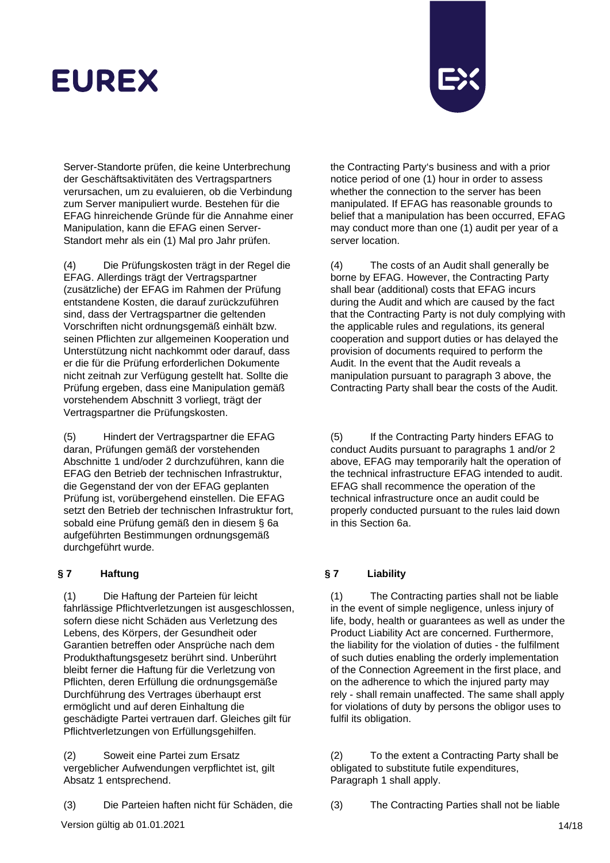

Server-Standorte prüfen, die keine Unterbrechung der Geschäftsaktivitäten des Vertragspartners verursachen, um zu evaluieren, ob die Verbindung zum Server manipuliert wurde. Bestehen für die EFAG hinreichende Gründe für die Annahme einer Manipulation, kann die EFAG einen Server-Standort mehr als ein (1) Mal pro Jahr prüfen.

(4) Die Prüfungskosten trägt in der Regel die EFAG. Allerdings trägt der Vertragspartner (zusätzliche) der EFAG im Rahmen der Prüfung entstandene Kosten, die darauf zurückzuführen sind, dass der Vertragspartner die geltenden Vorschriften nicht ordnungsgemäß einhält bzw. seinen Pflichten zur allgemeinen Kooperation und Unterstützung nicht nachkommt oder darauf, dass er die für die Prüfung erforderlichen Dokumente nicht zeitnah zur Verfügung gestellt hat. Sollte die Prüfung ergeben, dass eine Manipulation gemäß vorstehendem Abschnitt 3 vorliegt, trägt der Vertragspartner die Prüfungskosten.

(5) Hindert der Vertragspartner die EFAG daran, Prüfungen gemäß der vorstehenden Abschnitte 1 und/oder 2 durchzuführen, kann die EFAG den Betrieb der technischen Infrastruktur, die Gegenstand der von der EFAG geplanten Prüfung ist, vorübergehend einstellen. Die EFAG setzt den Betrieb der technischen Infrastruktur fort, sobald eine Prüfung gemäß den in diesem § 6a aufgeführten Bestimmungen ordnungsgemäß durchgeführt wurde.

## **§ 7 Haftung § 7 Liability**

(1) Die Haftung der Parteien für leicht fahrlässige Pflichtverletzungen ist ausgeschlossen, sofern diese nicht Schäden aus Verletzung des Lebens, des Körpers, der Gesundheit oder Garantien betreffen oder Ansprüche nach dem Produkthaftungsgesetz berührt sind. Unberührt bleibt ferner die Haftung für die Verletzung von Pflichten, deren Erfüllung die ordnungsgemäße Durchführung des Vertrages überhaupt erst ermöglicht und auf deren Einhaltung die geschädigte Partei vertrauen darf. Gleiches gilt für Pflichtverletzungen von Erfüllungsgehilfen.

(2) Soweit eine Partei zum Ersatz vergeblicher Aufwendungen verpflichtet ist, gilt Absatz 1 entsprechend.

(3) Die Parteien haften nicht für Schäden, die (3) The Contracting Parties shall not be liable

the Contracting Party's business and with a prior notice period of one (1) hour in order to assess whether the connection to the server has been manipulated. If EFAG has reasonable grounds to belief that a manipulation has been occurred, EFAG may conduct more than one (1) audit per year of a server location.

(4) The costs of an Audit shall generally be borne by EFAG. However, the Contracting Party shall bear (additional) costs that EFAG incurs during the Audit and which are caused by the fact that the Contracting Party is not duly complying with the applicable rules and regulations, its general cooperation and support duties or has delayed the provision of documents required to perform the Audit. In the event that the Audit reveals a manipulation pursuant to paragraph 3 above, the Contracting Party shall bear the costs of the Audit.

(5) If the Contracting Party hinders EFAG to conduct Audits pursuant to paragraphs 1 and/or 2 above, EFAG may temporarily halt the operation of the technical infrastructure EFAG intended to audit. EFAG shall recommence the operation of the technical infrastructure once an audit could be properly conducted pursuant to the rules laid down in this Section 6a.

(1) The Contracting parties shall not be liable in the event of simple negligence, unless injury of life, body, health or guarantees as well as under the Product Liability Act are concerned. Furthermore, the liability for the violation of duties - the fulfilment of such duties enabling the orderly implementation of the Connection Agreement in the first place, and on the adherence to which the injured party may rely - shall remain unaffected. The same shall apply for violations of duty by persons the obligor uses to fulfil its obligation.

(2) To the extent a Contracting Party shall be obligated to substitute futile expenditures, Paragraph 1 shall apply.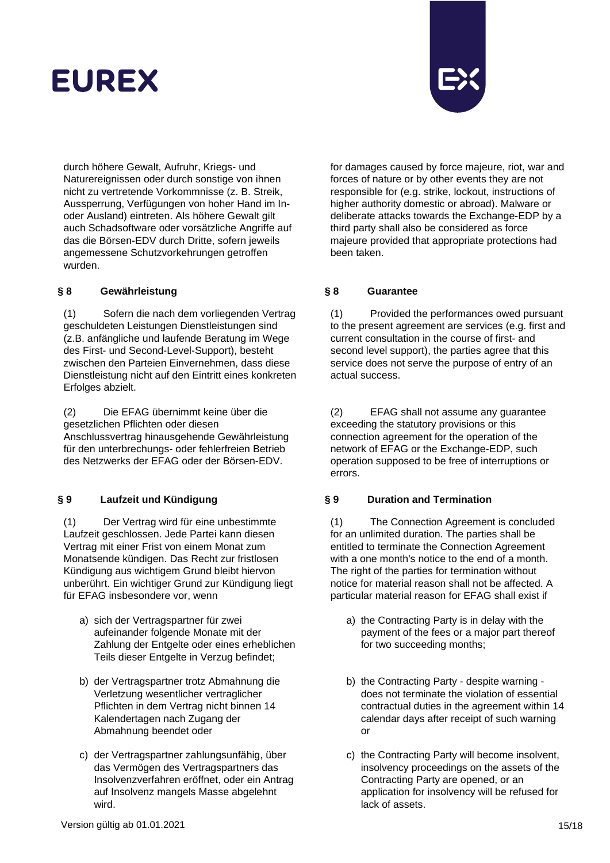

durch höhere Gewalt, Aufruhr, Kriegs- und Naturereignissen oder durch sonstige von ihnen nicht zu vertretende Vorkommnisse (z. B. Streik, Aussperrung, Verfügungen von hoher Hand im Inoder Ausland) eintreten. Als höhere Gewalt gilt auch Schadsoftware oder vorsätzliche Angriffe auf das die Börsen-EDV durch Dritte, sofern jeweils angemessene Schutzvorkehrungen getroffen wurden.

## **§ 8 Gewährleistung § 8 Guarantee**

(1) Sofern die nach dem vorliegenden Vertrag geschuldeten Leistungen Dienstleistungen sind (z.B. anfängliche und laufende Beratung im Wege des First- und Second-Level-Support), besteht zwischen den Parteien Einvernehmen, dass diese Dienstleistung nicht auf den Eintritt eines konkreten Erfolges abzielt.

(2) Die EFAG übernimmt keine über die gesetzlichen Pflichten oder diesen Anschlussvertrag hinausgehende Gewährleistung für den unterbrechungs- oder fehlerfreien Betrieb des Netzwerks der EFAG oder der Börsen-EDV.

(1) Der Vertrag wird für eine unbestimmte Laufzeit geschlossen. Jede Partei kann diesen Vertrag mit einer Frist von einem Monat zum Monatsende kündigen. Das Recht zur fristlosen Kündigung aus wichtigem Grund bleibt hiervon unberührt. Ein wichtiger Grund zur Kündigung liegt für EFAG insbesondere vor, wenn

- a) sich der Vertragspartner für zwei aufeinander folgende Monate mit der Zahlung der Entgelte oder eines erheblichen Teils dieser Entgelte in Verzug befindet;
- b) der Vertragspartner trotz Abmahnung die Verletzung wesentlicher vertraglicher Pflichten in dem Vertrag nicht binnen 14 Kalendertagen nach Zugang der Abmahnung beendet oder
- c) der Vertragspartner zahlungsunfähig, über das Vermögen des Vertragspartners das Insolvenzverfahren eröffnet, oder ein Antrag auf Insolvenz mangels Masse abgelehnt wird.

for damages caused by force majeure, riot, war and forces of nature or by other events they are not responsible for (e.g. strike, lockout, instructions of higher authority domestic or abroad). Malware or deliberate attacks towards the Exchange-EDP by a third party shall also be considered as force majeure provided that appropriate protections had been taken.

(1) Provided the performances owed pursuant to the present agreement are services (e.g. first and current consultation in the course of first- and second level support), the parties agree that this service does not serve the purpose of entry of an actual success.

(2) EFAG shall not assume any guarantee exceeding the statutory provisions or this connection agreement for the operation of the network of EFAG or the Exchange-EDP, such operation supposed to be free of interruptions or errors.

### **§ 9 Laufzeit und Kündigung § 9 Duration and Termination**

(1) The Connection Agreement is concluded for an unlimited duration. The parties shall be entitled to terminate the Connection Agreement with a one month's notice to the end of a month. The right of the parties for termination without notice for material reason shall not be affected. A particular material reason for EFAG shall exist if

- a) the Contracting Party is in delay with the payment of the fees or a major part thereof for two succeeding months;
- b) the Contracting Party despite warning does not terminate the violation of essential contractual duties in the agreement within 14 calendar days after receipt of such warning or
- c) the Contracting Party will become insolvent, insolvency proceedings on the assets of the Contracting Party are opened, or an application for insolvency will be refused for lack of assets.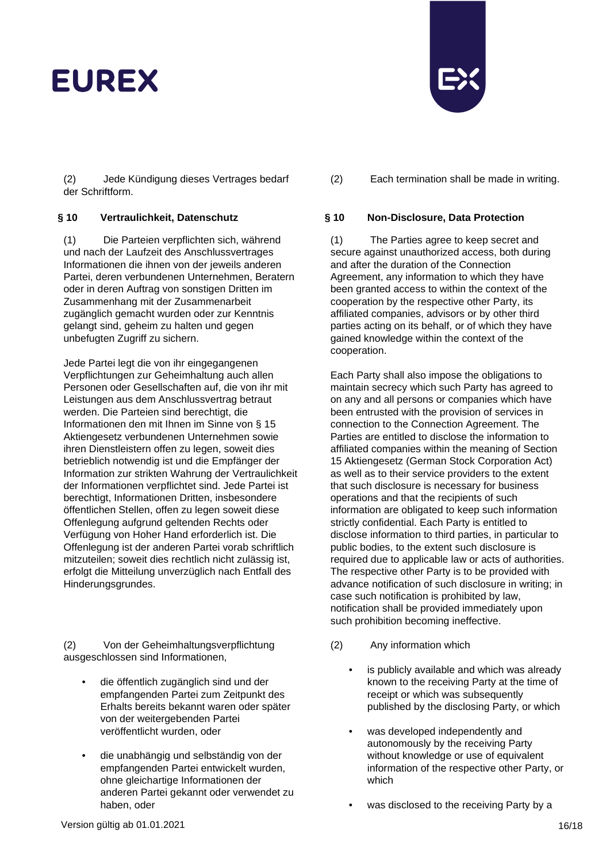(2) Jede Kündigung dieses Vertrages bedarf der Schriftform.

(1) Die Parteien verpflichten sich, während und nach der Laufzeit des Anschlussvertrages Informationen die ihnen von der jeweils anderen Partei, deren verbundenen Unternehmen, Beratern oder in deren Auftrag von sonstigen Dritten im Zusammenhang mit der Zusammenarbeit zugänglich gemacht wurden oder zur Kenntnis gelangt sind, geheim zu halten und gegen unbefugten Zugriff zu sichern.

Jede Partei legt die von ihr eingegangenen Verpflichtungen zur Geheimhaltung auch allen Personen oder Gesellschaften auf, die von ihr mit Leistungen aus dem Anschlussvertrag betraut werden. Die Parteien sind berechtigt, die Informationen den mit Ihnen im Sinne von § 15 Aktiengesetz verbundenen Unternehmen sowie ihren Dienstleistern offen zu legen, soweit dies betrieblich notwendig ist und die Empfänger der Information zur strikten Wahrung der Vertraulichkeit der Informationen verpflichtet sind. Jede Partei ist berechtigt, Informationen Dritten, insbesondere öffentlichen Stellen, offen zu legen soweit diese Offenlegung aufgrund geltenden Rechts oder Verfügung von Hoher Hand erforderlich ist. Die Offenlegung ist der anderen Partei vorab schriftlich mitzuteilen; soweit dies rechtlich nicht zulässig ist, erfolgt die Mitteilung unverzüglich nach Entfall des Hinderungsgrundes.

(2) Von der Geheimhaltungsverpflichtung ausgeschlossen sind Informationen,

- die öffentlich zugänglich sind und der empfangenden Partei zum Zeitpunkt des Erhalts bereits bekannt waren oder später von der weitergebenden Partei veröffentlicht wurden, oder
- die unabhängig und selbständig von der empfangenden Partei entwickelt wurden, ohne gleichartige Informationen der anderen Partei gekannt oder verwendet zu haben, oder



(2) Each termination shall be made in writing.

## **§ 10 Vertraulichkeit, Datenschutz § 10 Non-Disclosure, Data Protection**

(1) The Parties agree to keep secret and secure against unauthorized access, both during and after the duration of the Connection Agreement, any information to which they have been granted access to within the context of the cooperation by the respective other Party, its affiliated companies, advisors or by other third parties acting on its behalf, or of which they have gained knowledge within the context of the cooperation.

Each Party shall also impose the obligations to maintain secrecy which such Party has agreed to on any and all persons or companies which have been entrusted with the provision of services in connection to the Connection Agreement. The Parties are entitled to disclose the information to affiliated companies within the meaning of Section 15 Aktiengesetz (German Stock Corporation Act) as well as to their service providers to the extent that such disclosure is necessary for business operations and that the recipients of such information are obligated to keep such information strictly confidential. Each Party is entitled to disclose information to third parties, in particular to public bodies, to the extent such disclosure is required due to applicable law or acts of authorities. The respective other Party is to be provided with advance notification of such disclosure in writing; in case such notification is prohibited by law, notification shall be provided immediately upon such prohibition becoming ineffective.

- (2) Any information which
	- is publicly available and which was already known to the receiving Party at the time of receipt or which was subsequently published by the disclosing Party, or which
	- was developed independently and autonomously by the receiving Party without knowledge or use of equivalent information of the respective other Party, or which
	- was disclosed to the receiving Party by a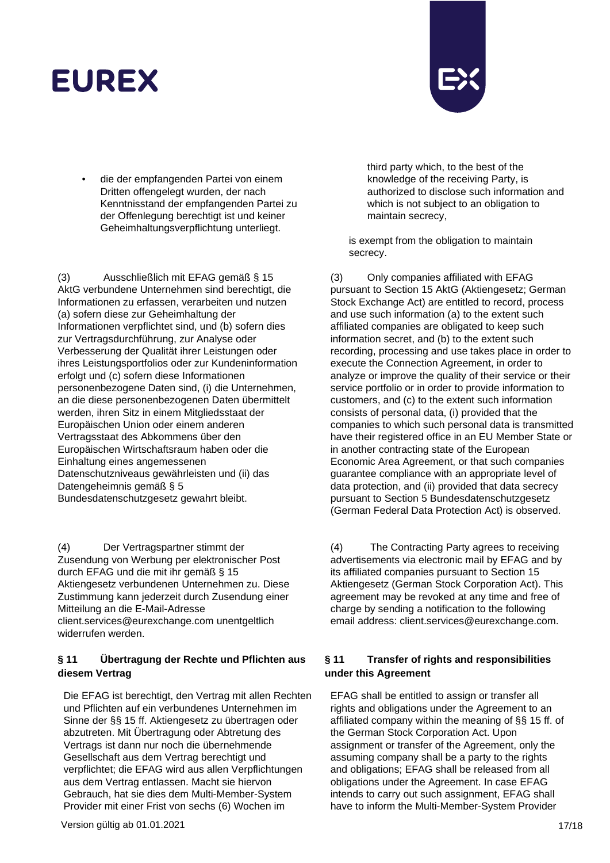• die der empfangenden Partei von einem Dritten offengelegt wurden, der nach Kenntnisstand der empfangenden Partei zu der Offenlegung berechtigt ist und keiner Geheimhaltungsverpflichtung unterliegt.

(3) Ausschließlich mit EFAG gemäß § 15 AktG verbundene Unternehmen sind berechtigt, die Informationen zu erfassen, verarbeiten und nutzen (a) sofern diese zur Geheimhaltung der Informationen verpflichtet sind, und (b) sofern dies zur Vertragsdurchführung, zur Analyse oder Verbesserung der Qualität ihrer Leistungen oder ihres Leistungsportfolios oder zur Kundeninformation erfolgt und (c) sofern diese Informationen personenbezogene Daten sind, (i) die Unternehmen, an die diese personenbezogenen Daten übermittelt werden, ihren Sitz in einem Mitgliedsstaat der Europäischen Union oder einem anderen Vertragsstaat des Abkommens über den Europäischen Wirtschaftsraum haben oder die Einhaltung eines angemessenen Datenschutzniveaus gewährleisten und (ii) das Datengeheimnis gemäß § 5 Bundesdatenschutzgesetz gewahrt bleibt.

(4) Der Vertragspartner stimmt der Zusendung von Werbung per elektronischer Post durch EFAG und die mit ihr gemäß § 15 Aktiengesetz verbundenen Unternehmen zu. Diese Zustimmung kann jederzeit durch Zusendung einer Mitteilung an die E-Mail-Adresse client.services@eurexchange.com unentgeltlich widerrufen werden.

## **§ 11 Übertragung der Rechte und Pflichten aus diesem Vertrag**

Die EFAG ist berechtigt, den Vertrag mit allen Rechten und Pflichten auf ein verbundenes Unternehmen im Sinne der §§ 15 ff. Aktiengesetz zu übertragen oder abzutreten. Mit Übertragung oder Abtretung des Vertrags ist dann nur noch die übernehmende Gesellschaft aus dem Vertrag berechtigt und verpflichtet; die EFAG wird aus allen Verpflichtungen aus dem Vertrag entlassen. Macht sie hiervon Gebrauch, hat sie dies dem Multi-Member-System Provider mit einer Frist von sechs (6) Wochen im

third party which, to the best of the knowledge of the receiving Party, is authorized to disclose such information and which is not subject to an obligation to maintain secrecy,

is exempt from the obligation to maintain secrecy.

(3) Only companies affiliated with EFAG pursuant to Section 15 AktG (Aktiengesetz; German Stock Exchange Act) are entitled to record, process and use such information (a) to the extent such affiliated companies are obligated to keep such information secret, and (b) to the extent such recording, processing and use takes place in order to execute the Connection Agreement, in order to analyze or improve the quality of their service or their service portfolio or in order to provide information to customers, and (c) to the extent such information consists of personal data, (i) provided that the companies to which such personal data is transmitted have their registered office in an EU Member State or in another contracting state of the European Economic Area Agreement, or that such companies guarantee compliance with an appropriate level of data protection, and (ii) provided that data secrecy pursuant to Section 5 Bundesdatenschutzgesetz (German Federal Data Protection Act) is observed.

(4) The Contracting Party agrees to receiving advertisements via electronic mail by EFAG and by its affiliated companies pursuant to Section 15 Aktiengesetz (German Stock Corporation Act). This agreement may be revoked at any time and free of charge by sending a notification to the following email address: client.services@eurexchange.com.

## **§ 11 Transfer of rights and responsibilities under this Agreement**

EFAG shall be entitled to assign or transfer all rights and obligations under the Agreement to an affiliated company within the meaning of §§ 15 ff. of the German Stock Corporation Act. Upon assignment or transfer of the Agreement, only the assuming company shall be a party to the rights and obligations; EFAG shall be released from all obligations under the Agreement. In case EFAG intends to carry out such assignment, EFAG shall have to inform the Multi-Member-System Provider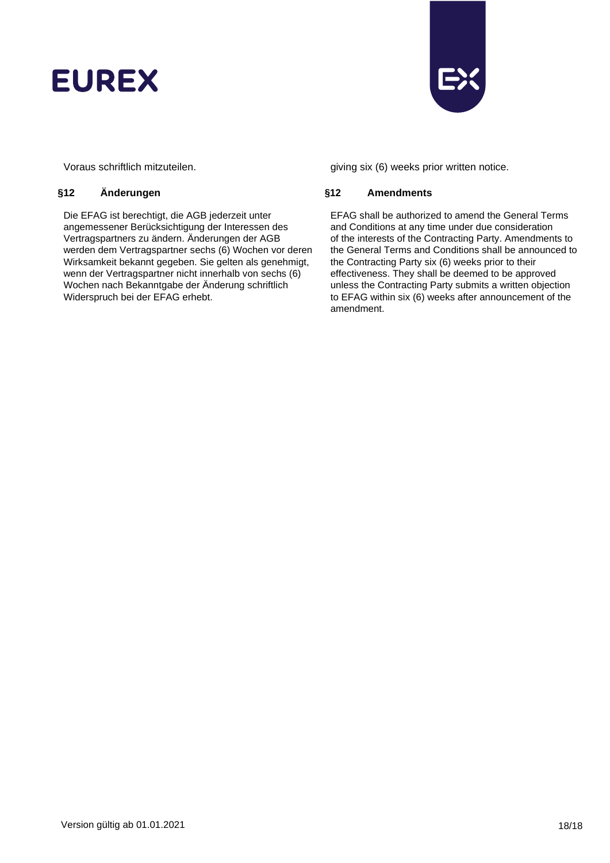



Die EFAG ist berechtigt, die AGB jederzeit unter angemessener Berücksichtigung der Interessen des Vertragspartners zu ändern. Änderungen der AGB werden dem Vertragspartner sechs (6) Wochen vor deren Wirksamkeit bekannt gegeben. Sie gelten als genehmigt, wenn der Vertragspartner nicht innerhalb von sechs (6) Wochen nach Bekanntgabe der Änderung schriftlich Widerspruch bei der EFAG erhebt.

Voraus schriftlich mitzuteilen. giving six (6) weeks prior written notice.

### **§12 Änderungen §12 Amendments**

EFAG shall be authorized to amend the General Terms and Conditions at any time under due consideration of the interests of the Contracting Party. Amendments to the General Terms and Conditions shall be announced to the Contracting Party six (6) weeks prior to their effectiveness. They shall be deemed to be approved unless the Contracting Party submits a written objection to EFAG within six (6) weeks after announcement of the amendment.